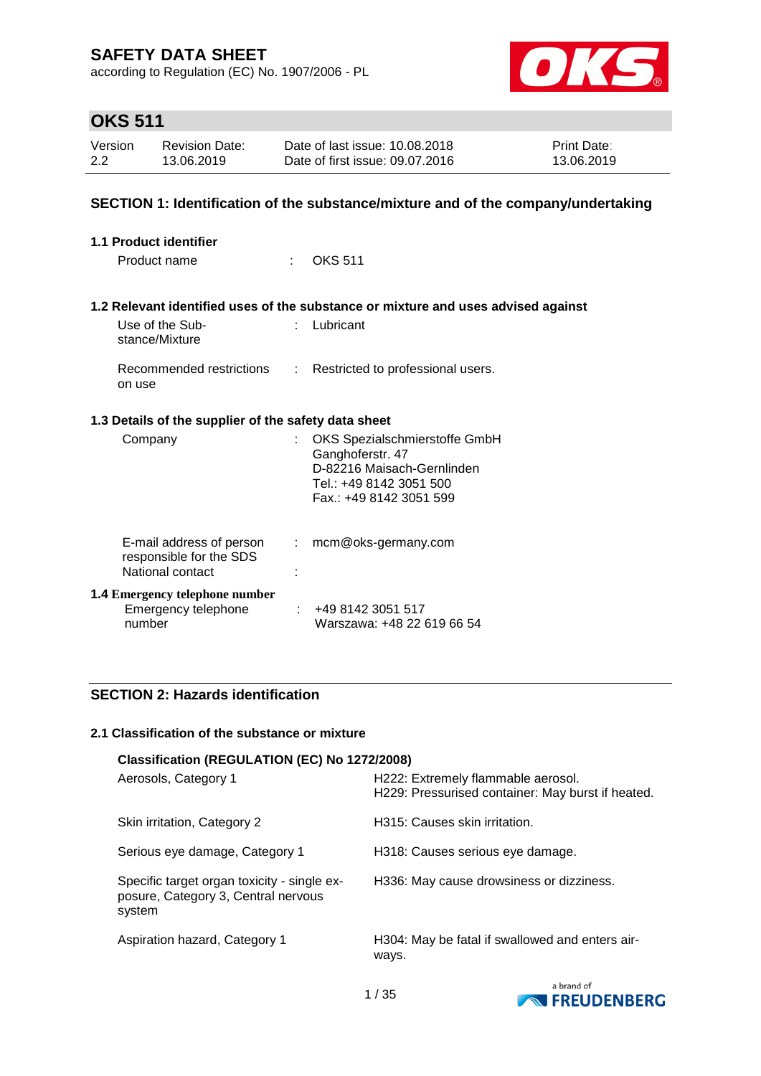according to Regulation (EC) No. 1907/2006 - PL



## **OKS 511**

| Version | <b>Revision Date:</b> | Date of last issue: 10.08.2018  | <b>Print Date:</b> |
|---------|-----------------------|---------------------------------|--------------------|
| 2.2     | 13.06.2019            | Date of first issue: 09.07.2016 | 13.06.2019         |

### **SECTION 1: Identification of the substance/mixture and of the company/undertaking**

| <b>1.1 Product identifier</b>                                           |                            |                                                                                                                                      |
|-------------------------------------------------------------------------|----------------------------|--------------------------------------------------------------------------------------------------------------------------------------|
| Product name                                                            | $\mathcal{F}(\mathcal{A})$ | <b>OKS 511</b>                                                                                                                       |
|                                                                         |                            | 1.2 Relevant identified uses of the substance or mixture and uses advised against                                                    |
| Use of the Sub-<br>stance/Mixture                                       | t.                         | Lubricant                                                                                                                            |
| Recommended restrictions<br>on use                                      |                            | Restricted to professional users.                                                                                                    |
| 1.3 Details of the supplier of the safety data sheet                    |                            |                                                                                                                                      |
| Company                                                                 | t.                         | OKS Spezialschmierstoffe GmbH<br>Ganghoferstr. 47<br>D-82216 Maisach-Gernlinden<br>Tel.: +49 8142 3051 500<br>Fax: +49 8142 3051 599 |
| E-mail address of person<br>responsible for the SDS<br>National contact |                            | mcm@oks-germany.com                                                                                                                  |
| <b>1.4 Emergency telephone number</b><br>Emergency telephone<br>number  |                            | +49 8142 3051 517<br>Warszawa: +48 22 619 66 54                                                                                      |

### **SECTION 2: Hazards identification**

#### **2.1 Classification of the substance or mixture**

| Classification (REGULATION (EC) No 1272/2008)                                                |                                                                                         |  |  |  |  |  |
|----------------------------------------------------------------------------------------------|-----------------------------------------------------------------------------------------|--|--|--|--|--|
| Aerosols, Category 1                                                                         | H222: Extremely flammable aerosol.<br>H229: Pressurised container: May burst if heated. |  |  |  |  |  |
| Skin irritation, Category 2                                                                  | H315: Causes skin irritation.                                                           |  |  |  |  |  |
| Serious eye damage, Category 1                                                               | H318: Causes serious eye damage.                                                        |  |  |  |  |  |
| Specific target organ toxicity - single ex-<br>posure, Category 3, Central nervous<br>system | H336: May cause drowsiness or dizziness.                                                |  |  |  |  |  |
| Aspiration hazard, Category 1                                                                | H304: May be fatal if swallowed and enters air-<br>ways.                                |  |  |  |  |  |

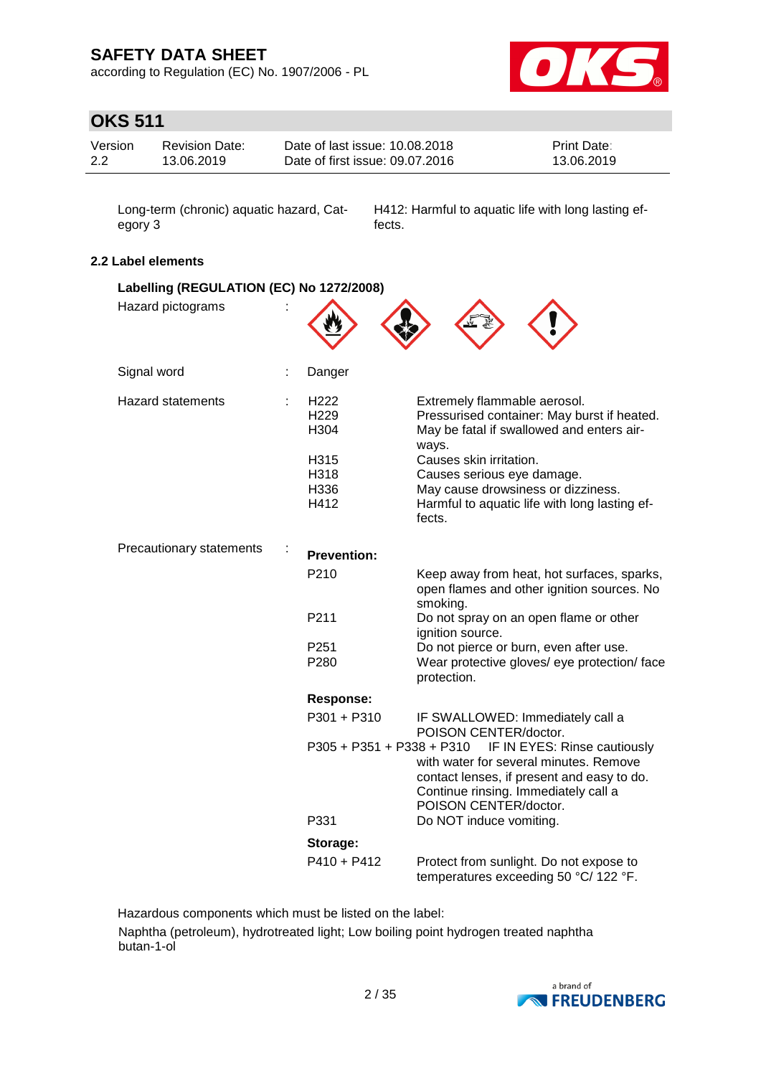according to Regulation (EC) No. 1907/2006 - PL



## **OKS 511**

| Version | <b>Revision Date:</b> | Date of last issue: 10.08.2018  | <b>Print Date:</b> |
|---------|-----------------------|---------------------------------|--------------------|
| 2.2     | 13.06.2019            | Date of first issue: 09.07.2016 | 13.06.2019         |

Long-term (chronic) aquatic hazard, Category 3

H412: Harmful to aquatic life with long lasting effects.

### **2.2 Label elements**

| Labelling (REGULATION (EC) No 1272/2008) |  |                                              |                                                                                                                                                                                       |
|------------------------------------------|--|----------------------------------------------|---------------------------------------------------------------------------------------------------------------------------------------------------------------------------------------|
| Hazard pictograms                        |  |                                              |                                                                                                                                                                                       |
| Signal word                              |  | Danger                                       |                                                                                                                                                                                       |
| <b>Hazard statements</b>                 |  | H <sub>222</sub><br>H <sub>229</sub><br>H304 | Extremely flammable aerosol.<br>Pressurised container: May burst if heated.<br>May be fatal if swallowed and enters air-<br>ways.                                                     |
|                                          |  | H315                                         | Causes skin irritation.                                                                                                                                                               |
|                                          |  | H318                                         | Causes serious eye damage.                                                                                                                                                            |
|                                          |  | H336                                         | May cause drowsiness or dizziness.                                                                                                                                                    |
|                                          |  | H412                                         | Harmful to aquatic life with long lasting ef-<br>fects.                                                                                                                               |
| Precautionary statements                 |  | <b>Prevention:</b>                           |                                                                                                                                                                                       |
|                                          |  | P210                                         | Keep away from heat, hot surfaces, sparks,<br>open flames and other ignition sources. No<br>smoking.                                                                                  |
|                                          |  | P211                                         | Do not spray on an open flame or other<br>ignition source.                                                                                                                            |
|                                          |  | P <sub>251</sub>                             | Do not pierce or burn, even after use.                                                                                                                                                |
|                                          |  | P280                                         | Wear protective gloves/ eye protection/ face<br>protection.                                                                                                                           |
|                                          |  | <b>Response:</b>                             |                                                                                                                                                                                       |
|                                          |  | $P301 + P310$                                | IF SWALLOWED: Immediately call a<br>POISON CENTER/doctor.                                                                                                                             |
|                                          |  | P305 + P351 + P338 + P310                    | IF IN EYES: Rinse cautiously<br>with water for several minutes. Remove<br>contact lenses, if present and easy to do.<br>Continue rinsing. Immediately call a<br>POISON CENTER/doctor. |
|                                          |  | P331                                         | Do NOT induce vomiting.                                                                                                                                                               |
|                                          |  | Storage:                                     |                                                                                                                                                                                       |
|                                          |  | $P410 + P412$                                | Protect from sunlight. Do not expose to<br>temperatures exceeding 50 °C/ 122 °F.                                                                                                      |

Hazardous components which must be listed on the label:

Naphtha (petroleum), hydrotreated light; Low boiling point hydrogen treated naphtha butan-1-ol

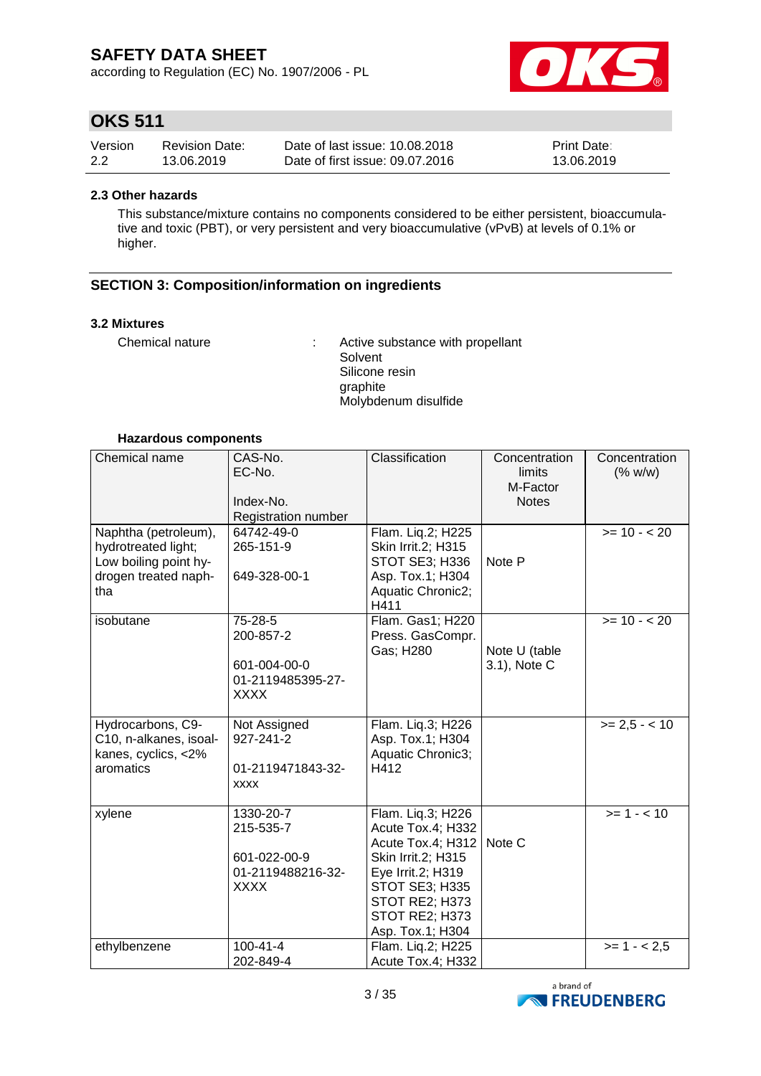according to Regulation (EC) No. 1907/2006 - PL



## **OKS 511**

| Version | <b>Revision Date:</b> | Date of last issue: 10.08.2018  | <b>Print Date:</b> |
|---------|-----------------------|---------------------------------|--------------------|
| 2.2     | 13.06.2019            | Date of first issue: 09.07.2016 | 13.06.2019         |

#### **2.3 Other hazards**

This substance/mixture contains no components considered to be either persistent, bioaccumulative and toxic (PBT), or very persistent and very bioaccumulative (vPvB) at levels of 0.1% or higher.

### **SECTION 3: Composition/information on ingredients**

#### **3.2 Mixtures**

Chemical nature : Active substance with propellant Solvent Silicone resin graphite Molybdenum disulfide

#### **Hazardous components**

| Chemical name                                                                                       | CAS-No.<br>EC-No.<br>Index-No.<br>Registration number                      | Classification                                                                                                                                                                   | Concentration<br>limits<br>M-Factor<br><b>Notes</b> | Concentration<br>(% w/w) |
|-----------------------------------------------------------------------------------------------------|----------------------------------------------------------------------------|----------------------------------------------------------------------------------------------------------------------------------------------------------------------------------|-----------------------------------------------------|--------------------------|
| Naphtha (petroleum),<br>hydrotreated light;<br>Low boiling point hy-<br>drogen treated naph-<br>tha | 64742-49-0<br>265-151-9<br>649-328-00-1                                    | Flam. Lig.2; H225<br>Skin Irrit.2; H315<br>STOT SE3; H336<br>Asp. Tox.1; H304<br>Aquatic Chronic2;<br>H411                                                                       | Note P                                              | $>= 10 - 20$             |
| isobutane                                                                                           | 75-28-5<br>200-857-2<br>601-004-00-0<br>01-2119485395-27-<br><b>XXXX</b>   | Flam. Gas1; H220<br>Press. GasCompr.<br>Gas; H280                                                                                                                                | Note U (table<br>3.1), Note C                       | $>= 10 - 20$             |
| Hydrocarbons, C9-<br>C10, n-alkanes, isoal-<br>kanes, cyclics, <2%<br>aromatics                     | Not Assigned<br>927-241-2<br>01-2119471843-32-<br><b>XXXX</b>              | Flam. Liq.3; H226<br>Asp. Tox.1; H304<br>Aquatic Chronic3;<br>H412                                                                                                               |                                                     | $>= 2.5 - < 10$          |
| xylene                                                                                              | 1330-20-7<br>215-535-7<br>601-022-00-9<br>01-2119488216-32-<br><b>XXXX</b> | Flam. Liq.3; H226<br>Acute Tox.4; H332<br>Acute Tox.4; H312<br>Skin Irrit.2; H315<br>Eye Irrit.2; H319<br>STOT SE3; H335<br>STOT RE2; H373<br>STOT RE2; H373<br>Asp. Tox.1; H304 | Note C                                              | $>= 1 - 10$              |
| ethylbenzene                                                                                        | $100 - 41 - 4$<br>202-849-4                                                | Flam. Liq.2; H225<br>Acute Tox.4; H332                                                                                                                                           |                                                     | $>= 1 - 2.5$             |

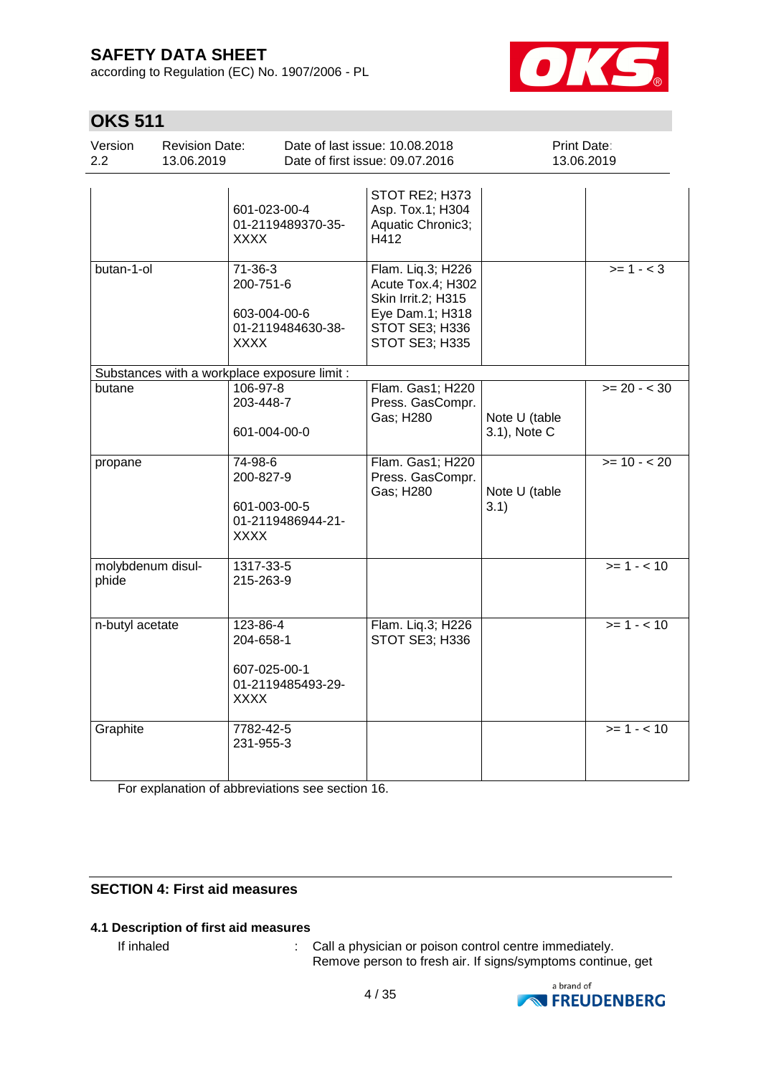according to Regulation (EC) No. 1907/2006 - PL



## **OKS 511**

| Version<br>2.2             | <b>Revision Date:</b><br>13.06.2019 |                                                                                | Date of last issue: 10.08.2018<br>Date of first issue: 09.07.2016                                                   | Print Date:<br>13.06.2019     |                |
|----------------------------|-------------------------------------|--------------------------------------------------------------------------------|---------------------------------------------------------------------------------------------------------------------|-------------------------------|----------------|
|                            |                                     | 601-023-00-4<br>01-2119489370-35-<br><b>XXXX</b>                               | STOT RE2; H373<br>Asp. Tox.1; H304<br>Aquatic Chronic3;<br>H412                                                     |                               |                |
| butan-1-ol                 |                                     | $71 - 36 - 3$<br>200-751-6<br>603-004-00-6<br>01-2119484630-38-<br><b>XXXX</b> | Flam. Liq.3; H226<br>Acute Tox.4; H302<br>Skin Irrit.2; H315<br>Eye Dam.1; H318<br>STOT SE3; H336<br>STOT SE3; H335 |                               | $>= 1 - 3$     |
|                            |                                     | Substances with a workplace exposure limit :                                   |                                                                                                                     |                               |                |
| butane                     |                                     | 106-97-8<br>203-448-7<br>601-004-00-0                                          | Flam. Gas1; H220<br>Press. GasCompr.<br>Gas; H280                                                                   | Note U (table<br>3.1), Note C | $>= 20 - < 30$ |
| propane                    |                                     | 74-98-6<br>200-827-9<br>601-003-00-5<br>01-2119486944-21-<br><b>XXXX</b>       | Flam. Gas1; H220<br>Press. GasCompr.<br>Gas; H280                                                                   | Note U (table<br>3.1)         | $>= 10 - 20$   |
| molybdenum disul-<br>phide |                                     | 1317-33-5<br>215-263-9                                                         |                                                                                                                     |                               | $>= 1 - 10$    |
| n-butyl acetate            |                                     | 123-86-4<br>204-658-1<br>607-025-00-1<br>01-2119485493-29-<br><b>XXXX</b>      | Flam. Liq.3; H226<br>STOT SE3; H336                                                                                 |                               | $>= 1 - 10$    |
| Graphite                   |                                     | 7782-42-5<br>231-955-3                                                         |                                                                                                                     |                               | $>= 1 - 10$    |

For explanation of abbreviations see section 16.

### **SECTION 4: First aid measures**

### **4.1 Description of first aid measures**

If inhaled  $\blacksquare$ : Call a physician or poison control centre immediately. Remove person to fresh air. If signs/symptoms continue, get

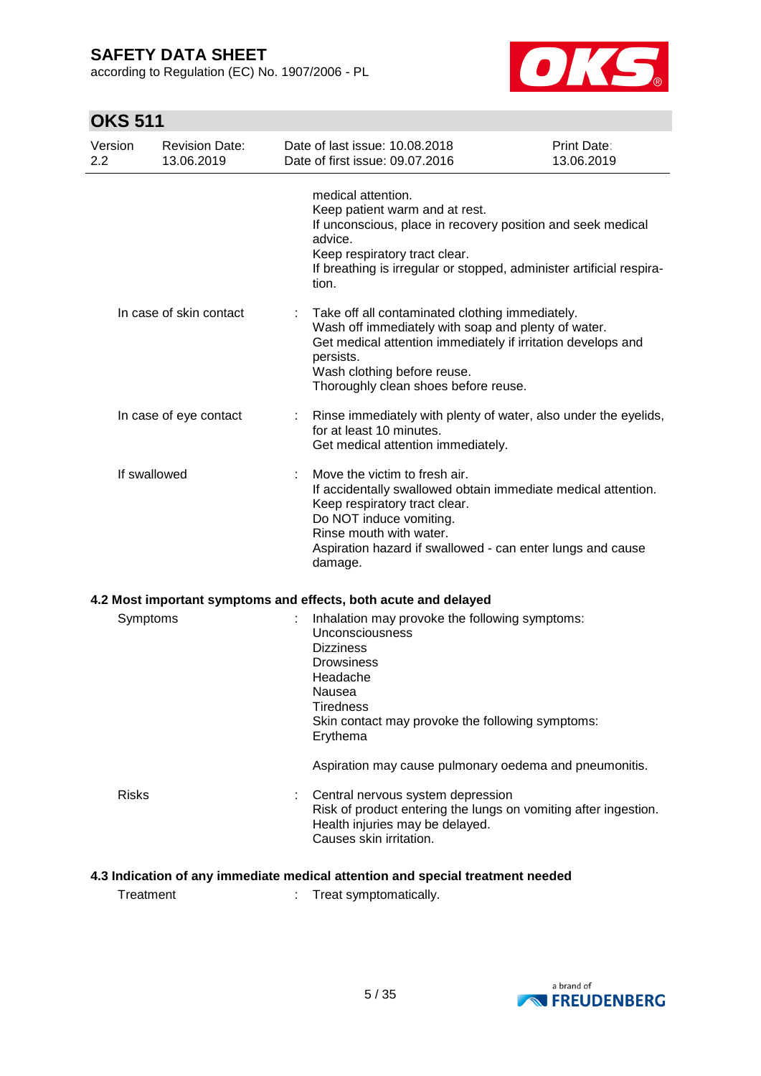according to Regulation (EC) No. 1907/2006 - PL



## **OKS 511**

| Version<br>2.2 |              | <b>Revision Date:</b><br>13.06.2019 | Date of last issue: 10.08.2018<br>Date of first issue: 09.07.2016                                                                                                                                                                                              | Print Date:<br>13.06.2019 |
|----------------|--------------|-------------------------------------|----------------------------------------------------------------------------------------------------------------------------------------------------------------------------------------------------------------------------------------------------------------|---------------------------|
|                |              |                                     | medical attention.<br>Keep patient warm and at rest.<br>If unconscious, place in recovery position and seek medical<br>advice.<br>Keep respiratory tract clear.<br>If breathing is irregular or stopped, administer artificial respira-<br>tion.               |                           |
|                |              | In case of skin contact             | Take off all contaminated clothing immediately.<br>Wash off immediately with soap and plenty of water.<br>Get medical attention immediately if irritation develops and<br>persists.<br>Wash clothing before reuse.<br>Thoroughly clean shoes before reuse.     |                           |
|                |              | In case of eye contact              | Rinse immediately with plenty of water, also under the eyelids,<br>for at least 10 minutes.<br>Get medical attention immediately.                                                                                                                              |                           |
|                | If swallowed |                                     | Move the victim to fresh air.<br>If accidentally swallowed obtain immediate medical attention.<br>Keep respiratory tract clear.<br>Do NOT induce vomiting.<br>Rinse mouth with water.<br>Aspiration hazard if swallowed - can enter lungs and cause<br>damage. |                           |
|                |              |                                     | 4.2 Most important symptoms and effects, both acute and delayed                                                                                                                                                                                                |                           |
|                | Symptoms     |                                     | Inhalation may provoke the following symptoms:<br>Unconsciousness<br><b>Dizziness</b><br><b>Drowsiness</b><br>Headache<br>Nausea<br><b>Tiredness</b><br>Skin contact may provoke the following symptoms:<br>Erythema                                           |                           |
|                |              |                                     | Aspiration may cause pulmonary oedema and pneumonitis.                                                                                                                                                                                                         |                           |
|                | <b>Risks</b> |                                     | Central nervous system depression<br>Risk of product entering the lungs on vomiting after ingestion.<br>Health injuries may be delayed.<br>Causes skin irritation.                                                                                             |                           |

### **4.3 Indication of any immediate medical attention and special treatment needed**

Treatment : Treat symptomatically.

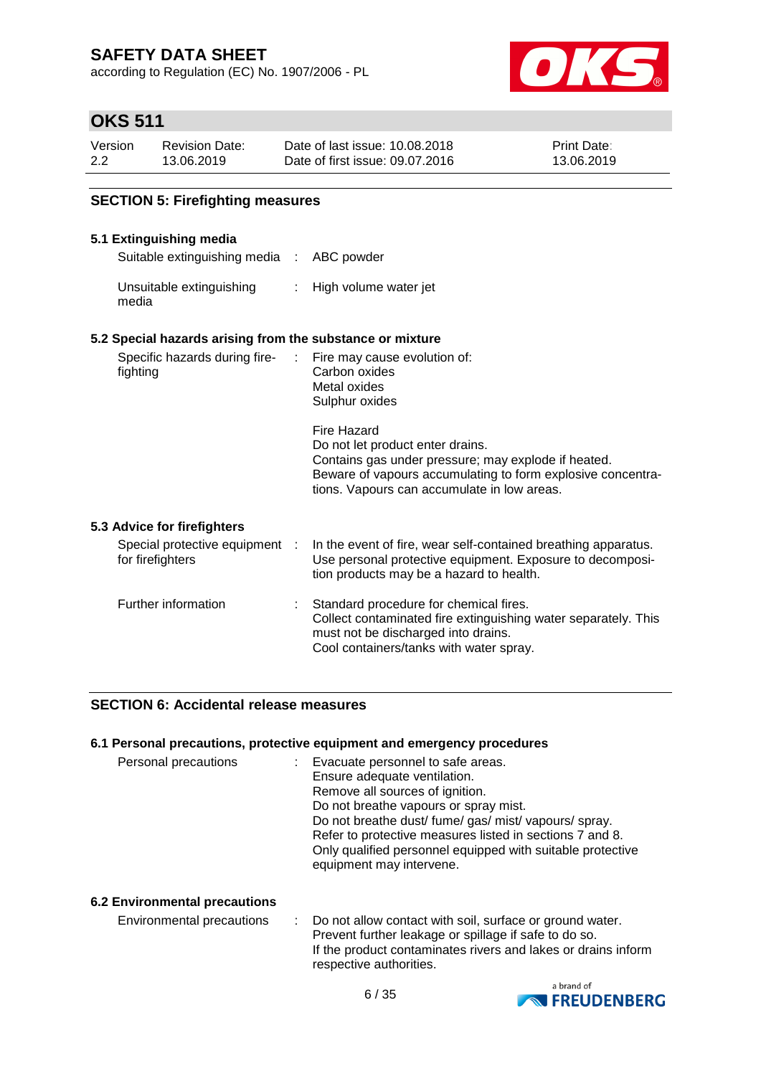according to Regulation (EC) No. 1907/2006 - PL



## **OKS 511**

| Version | <b>Revision Date:</b> | Date of last issue: 10.08.2018  | <b>Print Date:</b> |
|---------|-----------------------|---------------------------------|--------------------|
| 2.2     | 13.06.2019            | Date of first issue: 09.07.2016 | 13.06.2019         |

### **SECTION 5: Firefighting measures**

#### **5.1 Extinguishing media**

Suitable extinguishing media : ABC powder

Unsuitable extinguishing : High volume water jet media

#### **5.2 Special hazards arising from the substance or mixture**

| Specific hazards during fire-<br>fighting          | Fire may cause evolution of:<br>Carbon oxides                                                                                                                                                                        |
|----------------------------------------------------|----------------------------------------------------------------------------------------------------------------------------------------------------------------------------------------------------------------------|
|                                                    | Metal oxides<br>Sulphur oxides                                                                                                                                                                                       |
|                                                    | Fire Hazard<br>Do not let product enter drains.<br>Contains gas under pressure; may explode if heated.<br>Beware of vapours accumulating to form explosive concentra-<br>tions. Vapours can accumulate in low areas. |
| 5.3 Advice for firefighters                        |                                                                                                                                                                                                                      |
| Special protective equipment :<br>for firefighters | In the event of fire, wear self-contained breathing apparatus.<br>Use personal protective equipment. Exposure to decomposi-<br>tion products may be a hazard to health.                                              |

| Further information | : Standard procedure for chemical fires.<br>Collect contaminated fire extinguishing water separately. This<br>must not be discharged into drains.<br>Cool containers/tanks with water spray. |
|---------------------|----------------------------------------------------------------------------------------------------------------------------------------------------------------------------------------------|
|---------------------|----------------------------------------------------------------------------------------------------------------------------------------------------------------------------------------------|

### **SECTION 6: Accidental release measures**

#### **6.1 Personal precautions, protective equipment and emergency procedures**

| Personal precautions | Evacuate personnel to safe areas.<br>Ensure adequate ventilation.<br>Remove all sources of ignition.                                               |
|----------------------|----------------------------------------------------------------------------------------------------------------------------------------------------|
|                      | Do not breathe vapours or spray mist.<br>Do not breathe dust/fume/gas/mist/vapours/spray.                                                          |
|                      | Refer to protective measures listed in sections 7 and 8.<br>Only qualified personnel equipped with suitable protective<br>equipment may intervene. |

### **6.2 Environmental precautions**

| Environmental precautions | : Do not allow contact with soil, surface or ground water.<br>Prevent further leakage or spillage if safe to do so. |
|---------------------------|---------------------------------------------------------------------------------------------------------------------|
|                           | If the product contaminates rivers and lakes or drains inform<br>respective authorities.                            |

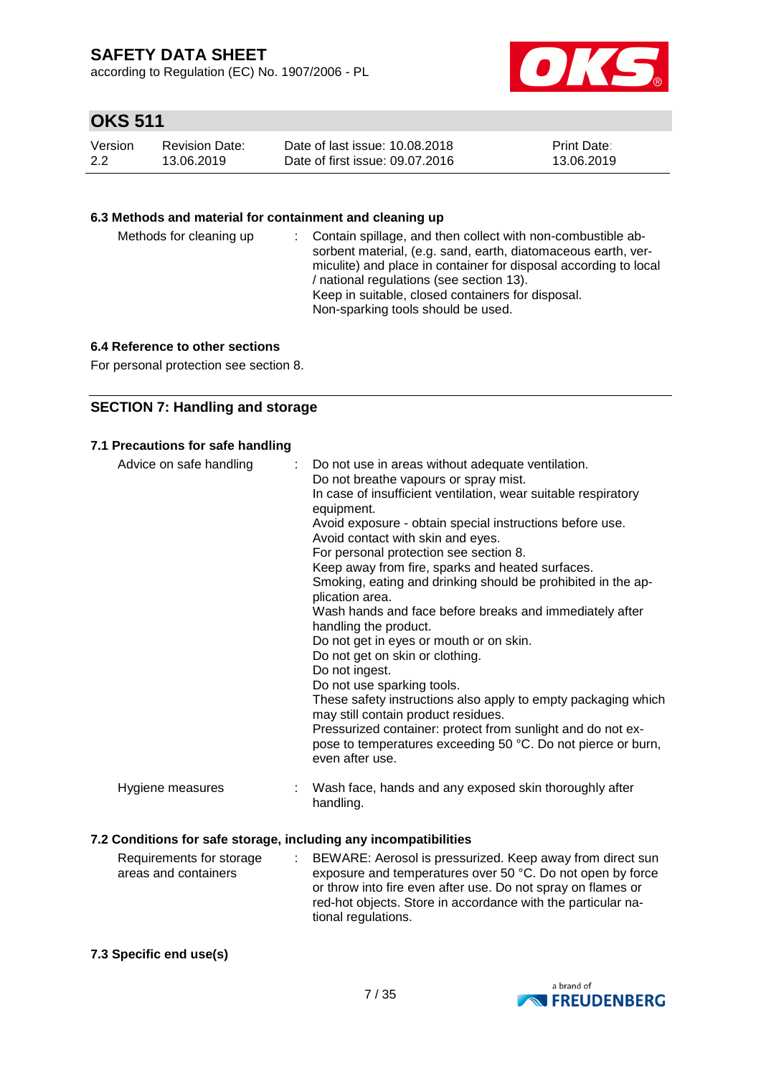according to Regulation (EC) No. 1907/2006 - PL



## **OKS 511**

| Version | <b>Revision Date:</b> | Date of last issue: 10.08.2018  | <b>Print Date:</b> |
|---------|-----------------------|---------------------------------|--------------------|
| 2.2     | 13.06.2019            | Date of first issue: 09.07.2016 | 13.06.2019         |

### **6.3 Methods and material for containment and cleaning up**

| Methods for cleaning up |  | : Contain spillage, and then collect with non-combustible ab-<br>sorbent material, (e.g. sand, earth, diatomaceous earth, ver-<br>miculite) and place in container for disposal according to local<br>/ national regulations (see section 13).<br>Keep in suitable, closed containers for disposal.<br>Non-sparking tools should be used. |
|-------------------------|--|-------------------------------------------------------------------------------------------------------------------------------------------------------------------------------------------------------------------------------------------------------------------------------------------------------------------------------------------|
|-------------------------|--|-------------------------------------------------------------------------------------------------------------------------------------------------------------------------------------------------------------------------------------------------------------------------------------------------------------------------------------------|

#### **6.4 Reference to other sections**

For personal protection see section 8.

### **SECTION 7: Handling and storage**

|                  | In case of insufficient ventilation, wear suitable respiratory<br>equipment.<br>Avoid exposure - obtain special instructions before use.<br>Avoid contact with skin and eyes.<br>For personal protection see section 8.<br>Keep away from fire, sparks and heated surfaces.<br>Smoking, eating and drinking should be prohibited in the ap-<br>plication area.<br>Wash hands and face before breaks and immediately after<br>handling the product.<br>Do not get in eyes or mouth or on skin.<br>Do not get on skin or clothing.<br>Do not ingest.<br>Do not use sparking tools.<br>These safety instructions also apply to empty packaging which<br>may still contain product residues.<br>Pressurized container: protect from sunlight and do not ex-<br>pose to temperatures exceeding 50 °C. Do not pierce or burn,<br>even after use. |
|------------------|--------------------------------------------------------------------------------------------------------------------------------------------------------------------------------------------------------------------------------------------------------------------------------------------------------------------------------------------------------------------------------------------------------------------------------------------------------------------------------------------------------------------------------------------------------------------------------------------------------------------------------------------------------------------------------------------------------------------------------------------------------------------------------------------------------------------------------------------|
| Hygiene measures | Wash face, hands and any exposed skin thoroughly after<br>t<br>handling.                                                                                                                                                                                                                                                                                                                                                                                                                                                                                                                                                                                                                                                                                                                                                                   |

#### Requirements for storage areas and containers : BEWARE: Aerosol is pressurized. Keep away from direct sun exposure and temperatures over 50 °C. Do not open by force or throw into fire even after use. Do not spray on flames or red-hot objects. Store in accordance with the particular national regulations.

#### **7.3 Specific end use(s)**

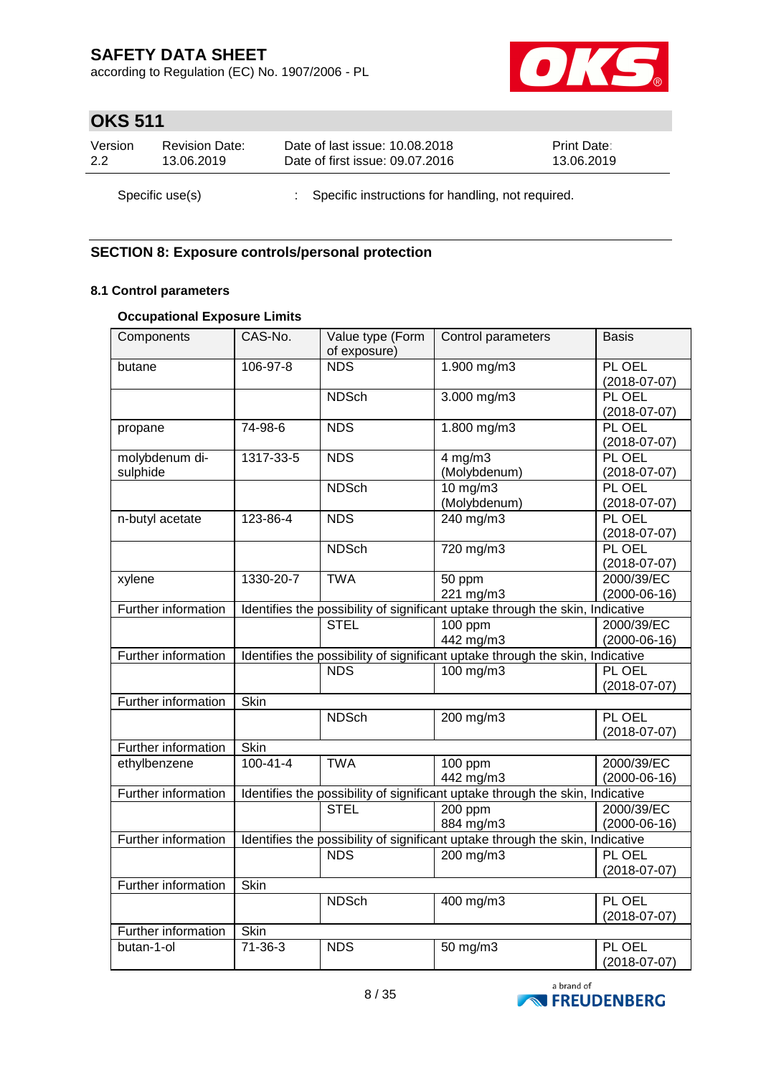according to Regulation (EC) No. 1907/2006 - PL



## **OKS 511**

| Version | <b>Revision Date:</b> | Date of last issue: 10.08.2018                      | <b>Print Date:</b> |
|---------|-----------------------|-----------------------------------------------------|--------------------|
| 2.2     | 13.06.2019            | Date of first issue: 09.07.2016                     | 13.06.2019         |
|         | Specific use(s)       | : Specific instructions for handling, not required. |                    |

### **SECTION 8: Exposure controls/personal protection**

### **8.1 Control parameters**

### **Occupational Exposure Limits**

| Components                 | CAS-No.        | Value type (Form<br>of exposure) | Control parameters                                                            | <b>Basis</b>                 |
|----------------------------|----------------|----------------------------------|-------------------------------------------------------------------------------|------------------------------|
| butane                     | 106-97-8       | <b>NDS</b>                       | 1.900 mg/m3                                                                   | PL OEL<br>$(2018-07-07)$     |
|                            |                | <b>NDSch</b>                     | $3.000$ mg/m $3$                                                              | PL OEL<br>$(2018 - 07 - 07)$ |
| propane                    | 74-98-6        | <b>NDS</b>                       | 1.800 mg/m3                                                                   | PL OEL<br>$(2018-07-07)$     |
| molybdenum di-<br>sulphide | 1317-33-5      | <b>NDS</b>                       | $4$ mg/m $3$<br>(Molybdenum)                                                  | PL OEL<br>$(2018-07-07)$     |
|                            |                | <b>NDSch</b>                     | $10$ mg/m $3$<br>(Molybdenum)                                                 | PL OEL<br>$(2018-07-07)$     |
| n-butyl acetate            | 123-86-4       | <b>NDS</b>                       | 240 mg/m3                                                                     | PL OEL<br>$(2018-07-07)$     |
|                            |                | <b>NDSch</b>                     | 720 mg/m3                                                                     | PL OEL<br>$(2018 - 07 - 07)$ |
| xylene                     | 1330-20-7      | <b>TWA</b>                       | 50 ppm<br>221 mg/m3                                                           | 2000/39/EC<br>$(2000-06-16)$ |
| <b>Further information</b> |                |                                  | Identifies the possibility of significant uptake through the skin, Indicative |                              |
|                            |                | <b>STEL</b>                      | $100$ ppm<br>442 mg/m3                                                        | 2000/39/EC<br>$(2000-06-16)$ |
| Further information        |                |                                  | Identifies the possibility of significant uptake through the skin, Indicative |                              |
|                            |                | <b>NDS</b>                       | $100$ mg/m3                                                                   | PL OEL<br>$(2018-07-07)$     |
| Further information        | Skin           |                                  |                                                                               |                              |
|                            |                | <b>NDSch</b>                     | 200 mg/m3                                                                     | PL OEL<br>$(2018-07-07)$     |
| Further information        | <b>Skin</b>    |                                  |                                                                               |                              |
| ethylbenzene               | $100 - 41 - 4$ | <b>TWA</b>                       | 100 ppm<br>442 mg/m3                                                          | 2000/39/EC<br>$(2000-06-16)$ |
| Further information        |                |                                  | Identifies the possibility of significant uptake through the skin, Indicative |                              |
|                            |                | <b>STEL</b>                      | $200$ ppm<br>884 mg/m3                                                        | 2000/39/EC<br>$(2000-06-16)$ |
| Further information        |                |                                  | Identifies the possibility of significant uptake through the skin, Indicative |                              |
|                            |                | <b>NDS</b>                       | $200$ mg/m3                                                                   | PL OEL<br>$(2018 - 07 - 07)$ |
| Further information        | <b>Skin</b>    |                                  |                                                                               |                              |
|                            |                | <b>NDSch</b>                     | 400 mg/m3                                                                     | PL OEL<br>$(2018-07-07)$     |
| Further information        | Skin           |                                  |                                                                               |                              |
| butan-1-ol                 | $71-36-3$      | <b>NDS</b>                       | 50 mg/m3                                                                      | PL OEL<br>$(2018-07-07)$     |

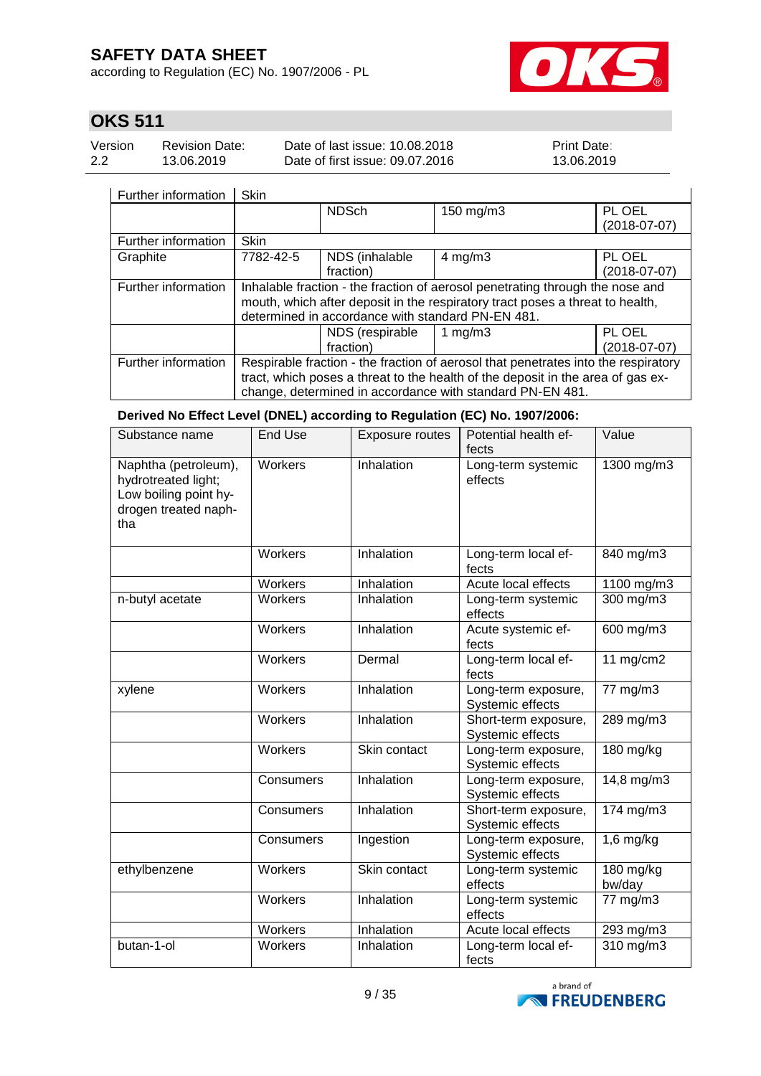according to Regulation (EC) No. 1907/2006 - PL



 $\overline{\phantom{a}}$ 

## **OKS 511**

| Version | <b>Revision Date:</b> | Date of last issue: 10.08.2018  | <b>Print Date:</b> |
|---------|-----------------------|---------------------------------|--------------------|
| 2.2     | 13.06.2019            | Date of first issue: 09.07.2016 | 13.06.2019         |

### | Further information | Skin

|                     |                                                                                    | <b>NDSch</b>    | 150 mg/m3                                                                     | PL OEL         |
|---------------------|------------------------------------------------------------------------------------|-----------------|-------------------------------------------------------------------------------|----------------|
|                     |                                                                                    |                 |                                                                               | $(2018-07-07)$ |
| Further information | <b>Skin</b>                                                                        |                 |                                                                               |                |
| Graphite            | 7782-42-5                                                                          | NDS (inhalable  | $4 \text{ mg/m}$ 3                                                            | PL OEL         |
|                     |                                                                                    | fraction)       |                                                                               | $(2018-07-07)$ |
| Further information |                                                                                    |                 | Inhalable fraction - the fraction of aerosol penetrating through the nose and |                |
|                     | mouth, which after deposit in the respiratory tract poses a threat to health,      |                 |                                                                               |                |
|                     | determined in accordance with standard PN-EN 481.                                  |                 |                                                                               |                |
|                     |                                                                                    | NDS (respirable | 1 mg/m $3$                                                                    | PL OEL         |
|                     |                                                                                    | fraction)       |                                                                               | $(2018-07-07)$ |
| Further information | Respirable fraction - the fraction of aerosol that penetrates into the respiratory |                 |                                                                               |                |
|                     | tract, which poses a threat to the health of the deposit in the area of gas ex-    |                 |                                                                               |                |
|                     | change, determined in accordance with standard PN-EN 481.                          |                 |                                                                               |                |

### **Derived No Effect Level (DNEL) according to Regulation (EC) No. 1907/2006:**

| Substance name                                                                                      | <b>End Use</b> | <b>Exposure routes</b> | Potential health ef-<br>fects            | Value                  |
|-----------------------------------------------------------------------------------------------------|----------------|------------------------|------------------------------------------|------------------------|
| Naphtha (petroleum),<br>hydrotreated light;<br>Low boiling point hy-<br>drogen treated naph-<br>tha | Workers        | Inhalation             | Long-term systemic<br>effects            | 1300 mg/m3             |
|                                                                                                     | Workers        | Inhalation             | Long-term local ef-<br>fects             | $\overline{840}$ mg/m3 |
|                                                                                                     | Workers        | Inhalation             | Acute local effects                      | 1100 mg/m3             |
| n-butyl acetate                                                                                     | <b>Workers</b> | Inhalation             | Long-term systemic<br>effects            | 300 mg/m3              |
|                                                                                                     | Workers        | Inhalation             | Acute systemic ef-<br>fects              | 600 mg/m3              |
|                                                                                                     | Workers        | Dermal                 | Long-term local ef-<br>fects             | 11 $mg/cm2$            |
| xylene                                                                                              | Workers        | Inhalation             | Long-term exposure,<br>Systemic effects  | 77 mg/m3               |
|                                                                                                     | <b>Workers</b> | Inhalation             | Short-term exposure,<br>Systemic effects | 289 mg/m3              |
|                                                                                                     | Workers        | Skin contact           | Long-term exposure,<br>Systemic effects  | 180 mg/kg              |
|                                                                                                     | Consumers      | Inhalation             | Long-term exposure,<br>Systemic effects  | 14,8 mg/m3             |
|                                                                                                     | Consumers      | Inhalation             | Short-term exposure,<br>Systemic effects | 174 mg/m3              |
|                                                                                                     | Consumers      | Ingestion              | Long-term exposure,<br>Systemic effects  | $1,6$ mg/kg            |
| ethylbenzene                                                                                        | Workers        | Skin contact           | Long-term systemic<br>effects            | 180 mg/kg<br>bw/day    |
|                                                                                                     | <b>Workers</b> | Inhalation             | Long-term systemic<br>effects            | 77 mg/m3               |
|                                                                                                     | Workers        | Inhalation             | Acute local effects                      | 293 mg/m3              |
| butan-1-ol                                                                                          | Workers        | Inhalation             | Long-term local ef-<br>fects             | 310 mg/m3              |

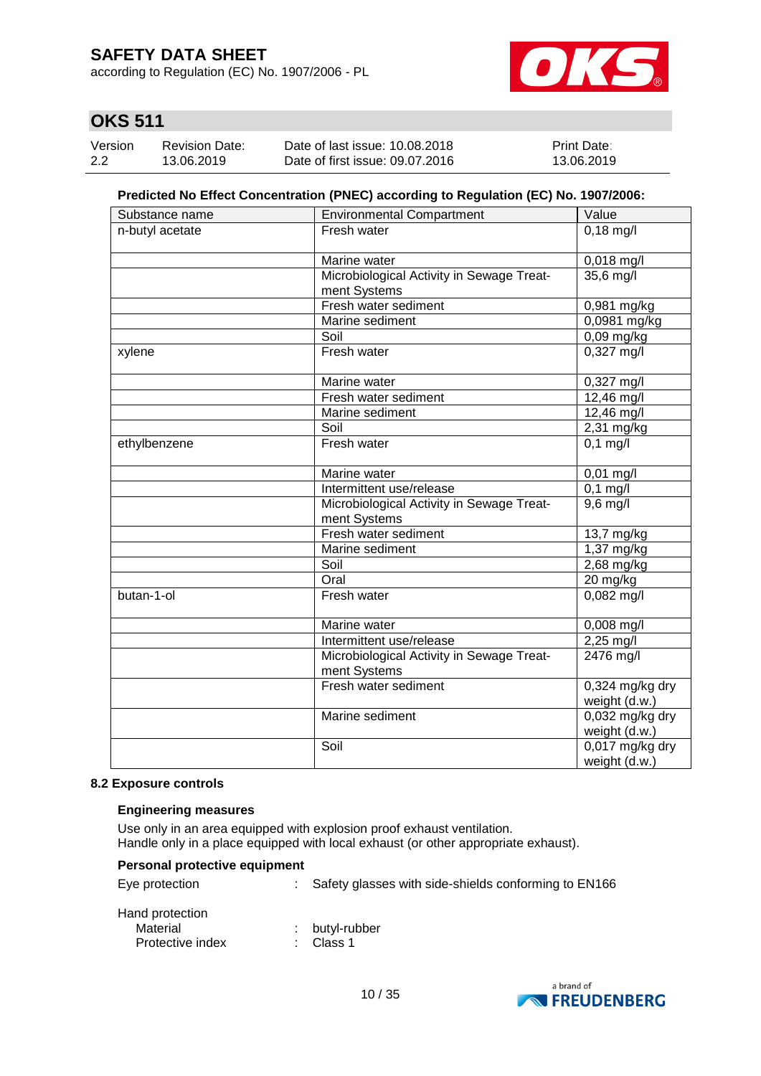according to Regulation (EC) No. 1907/2006 - PL



## **OKS 511**

| Version | <b>Revision Date:</b> | Date of last issue: 10.08.2018  | <b>Print Date:</b> |
|---------|-----------------------|---------------------------------|--------------------|
| 2.2     | 13.06.2019            | Date of first issue: 09.07.2016 | 13.06.2019         |

#### **Predicted No Effect Concentration (PNEC) according to Regulation (EC) No. 1907/2006:**

| Substance name  | <b>Environmental Compartment</b>                          | Value                              |
|-----------------|-----------------------------------------------------------|------------------------------------|
| n-butyl acetate | Fresh water                                               | $0,18$ mg/l                        |
|                 |                                                           |                                    |
|                 | Marine water                                              | $0,018$ mg/l                       |
|                 | Microbiological Activity in Sewage Treat-<br>ment Systems | 35,6 mg/l                          |
|                 | Fresh water sediment                                      | 0,981 mg/kg                        |
|                 | Marine sediment                                           | 0,0981 mg/kg                       |
|                 | Soil                                                      | 0,09 mg/kg                         |
| xylene          | Fresh water                                               | $0,327 \text{ mg/l}$               |
|                 | Marine water                                              | 0,327 mg/l                         |
|                 | Fresh water sediment                                      | 12,46 mg/l                         |
|                 | Marine sediment                                           | $12,46$ mg/l                       |
|                 | Soil                                                      | 2,31 mg/kg                         |
| ethylbenzene    | Fresh water                                               | $0,1$ mg/l                         |
|                 | Marine water                                              | 0,01 mg/l                          |
|                 | Intermittent use/release                                  | $0,1$ mg/l                         |
|                 | Microbiological Activity in Sewage Treat-<br>ment Systems | $9,6$ mg/l                         |
|                 | Fresh water sediment                                      | 13,7 mg/kg                         |
|                 | Marine sediment                                           | 1,37 mg/kg                         |
|                 | Soil                                                      | 2,68 mg/kg                         |
|                 | Oral                                                      | 20 mg/kg                           |
| butan-1-ol      | Fresh water                                               | $0,082$ mg/l                       |
|                 | Marine water                                              | 0,008 mg/l                         |
|                 | Intermittent use/release                                  | $2,25 \,\text{mg/l}$               |
|                 | Microbiological Activity in Sewage Treat-<br>ment Systems | 2476 mg/l                          |
|                 | Fresh water sediment                                      | $0,324$ mg/kg dry<br>weight (d.w.) |
|                 | Marine sediment                                           | 0,032 mg/kg dry<br>weight (d.w.)   |
|                 | Soil                                                      | $0,017$ mg/kg dry<br>weight (d.w.) |

#### **8.2 Exposure controls**

#### **Engineering measures**

Use only in an area equipped with explosion proof exhaust ventilation. Handle only in a place equipped with local exhaust (or other appropriate exhaust).

#### **Personal protective equipment**

|  | Eye protection |  |
|--|----------------|--|
|--|----------------|--|

: Safety glasses with side-shields conforming to EN166

| Hand protection  |                |
|------------------|----------------|
| Material         | : butyl-rubber |
| Protective index | : Class 1      |

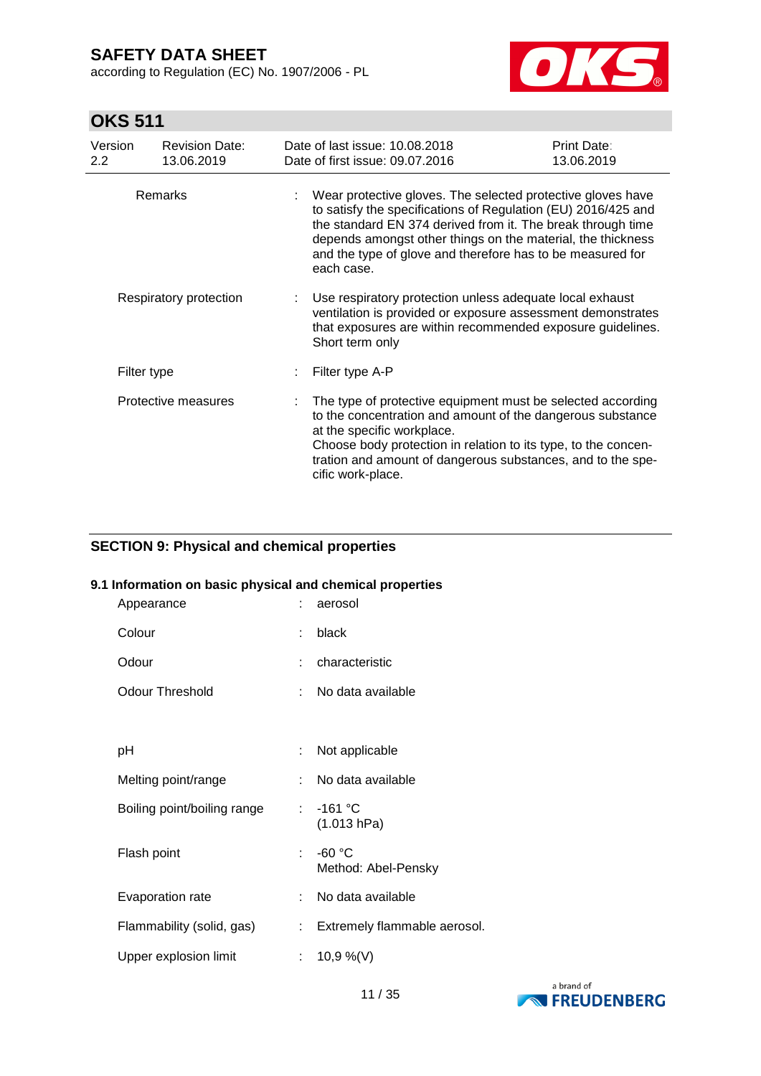according to Regulation (EC) No. 1907/2006 - PL



## **OKS 511**

| Version<br>$2.2^{\circ}$                 | <b>Revision Date:</b><br>13.06.2019 | Date of last issue: 10.08.2018<br>Date of first issue: 09.07.2016                                                                                                                                                                                                                                                                      | Print Date:<br>13.06.2019 |
|------------------------------------------|-------------------------------------|----------------------------------------------------------------------------------------------------------------------------------------------------------------------------------------------------------------------------------------------------------------------------------------------------------------------------------------|---------------------------|
| <b>Remarks</b><br>Respiratory protection |                                     | Wear protective gloves. The selected protective gloves have<br>to satisfy the specifications of Regulation (EU) 2016/425 and<br>the standard EN 374 derived from it. The break through time<br>depends amongst other things on the material, the thickness<br>and the type of glove and therefore has to be measured for<br>each case. |                           |
|                                          |                                     | Use respiratory protection unless adequate local exhaust<br>ventilation is provided or exposure assessment demonstrates<br>that exposures are within recommended exposure guidelines.<br>Short term only                                                                                                                               |                           |
|                                          | Filter type                         | Filter type A-P                                                                                                                                                                                                                                                                                                                        |                           |
|                                          | Protective measures                 | The type of protective equipment must be selected according<br>to the concentration and amount of the dangerous substance<br>at the specific workplace.<br>Choose body protection in relation to its type, to the concen-<br>tration and amount of dangerous substances, and to the spe-<br>cific work-place.                          |                           |

### **SECTION 9: Physical and chemical properties**

#### **9.1 Information on basic physical and chemical properties**

| Appearance                  | ÷  | aerosol                         |
|-----------------------------|----|---------------------------------|
| Colour                      | ÷  | black                           |
| Odour                       | ÷  | characteristic                  |
| <b>Odour Threshold</b>      | ÷. | No data available               |
|                             |    |                                 |
| рH                          | ÷  | Not applicable                  |
| Melting point/range         |    | No data available               |
| Boiling point/boiling range | ÷  | $-161 °C$<br>(1.013 hPa)        |
| Flash point                 | ÷  | $-60 °C$<br>Method: Abel-Pensky |
| Evaporation rate            | ÷. | No data available               |
| Flammability (solid, gas)   | ÷. | Extremely flammable aerosol.    |
| Upper explosion limit       | ÷. | 10,9 %(V)                       |

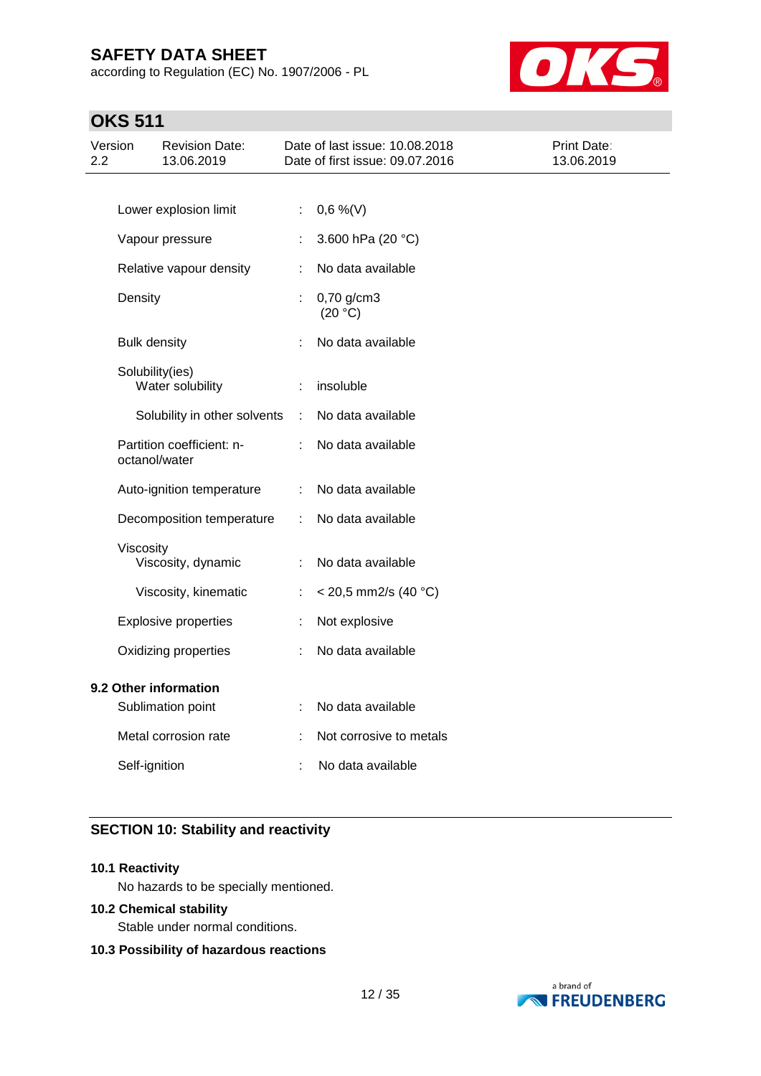according to Regulation (EC) No. 1907/2006 - PL



## **OKS 511**

| Version<br>2.2 |                     | <b>Revision Date:</b><br>13.06.2019        |   | Date of last issue: 10.08.2018<br>Date of first issue: 09.07.2016 | Print Date:<br>13.06.2019 |
|----------------|---------------------|--------------------------------------------|---|-------------------------------------------------------------------|---------------------------|
|                |                     |                                            |   |                                                                   |                           |
|                |                     | Lower explosion limit                      | ÷ | $0,6\%$ (V)                                                       |                           |
|                |                     | Vapour pressure                            |   | 3.600 hPa (20 °C)                                                 |                           |
|                |                     | Relative vapour density                    | ÷ | No data available                                                 |                           |
|                | Density             |                                            |   | 0,70 g/cm3<br>(20 °C)                                             |                           |
|                | <b>Bulk density</b> |                                            |   | No data available                                                 |                           |
|                |                     | Solubility(ies)<br>Water solubility        |   | insoluble                                                         |                           |
|                |                     | Solubility in other solvents               | ÷ | No data available                                                 |                           |
|                |                     | Partition coefficient: n-<br>octanol/water |   | No data available                                                 |                           |
|                |                     | Auto-ignition temperature                  | ÷ | No data available                                                 |                           |
|                |                     | Decomposition temperature                  | ÷ | No data available                                                 |                           |
|                | Viscosity           | Viscosity, dynamic                         |   | No data available                                                 |                           |
|                |                     | Viscosity, kinematic                       | ÷ | $<$ 20,5 mm2/s (40 °C)                                            |                           |
|                |                     | <b>Explosive properties</b>                | ÷ | Not explosive                                                     |                           |
|                |                     | Oxidizing properties                       | ÷ | No data available                                                 |                           |
|                |                     | 9.2 Other information<br>Sublimation point |   | No data available                                                 |                           |
|                |                     | Metal corrosion rate                       |   | Not corrosive to metals                                           |                           |
|                | Self-ignition       |                                            |   | No data available                                                 |                           |
|                |                     |                                            |   |                                                                   |                           |

### **SECTION 10: Stability and reactivity**

#### **10.1 Reactivity**

No hazards to be specially mentioned.

### **10.2 Chemical stability**

Stable under normal conditions.

#### **10.3 Possibility of hazardous reactions**

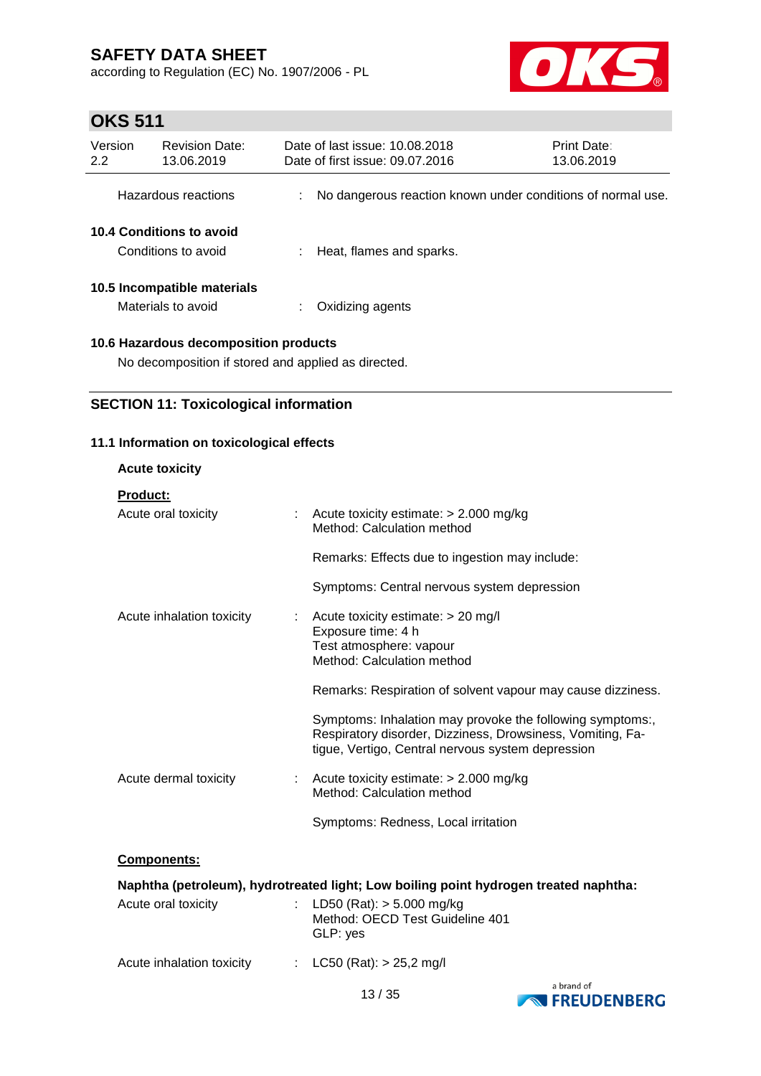according to Regulation (EC) No. 1907/2006 - PL



## **OKS 511**

| Version<br>2.2 | <b>Revision Date:</b><br>13.06.2019               |    | Date of last issue: 10.08.2018<br>Date of first issue: 09.07.2016 | Print Date:<br>13.06.2019 |
|----------------|---------------------------------------------------|----|-------------------------------------------------------------------|---------------------------|
|                | Hazardous reactions                               | t. | No dangerous reaction known under conditions of normal use.       |                           |
|                | 10.4 Conditions to avoid<br>Conditions to avoid   |    | Heat, flames and sparks.                                          |                           |
|                | 10.5 Incompatible materials<br>Materials to avoid |    | Oxidizing agents                                                  |                           |
|                |                                                   |    |                                                                   |                           |

### **10.6 Hazardous decomposition products**

No decomposition if stored and applied as directed.

### **SECTION 11: Toxicological information**

### **11.1 Information on toxicological effects**

| <b>Acute toxicity</b>                  |                                                                                                                                                                              |
|----------------------------------------|------------------------------------------------------------------------------------------------------------------------------------------------------------------------------|
| <b>Product:</b><br>Acute oral toxicity | : Acute toxicity estimate: $> 2.000$ mg/kg<br>Method: Calculation method                                                                                                     |
|                                        | Remarks: Effects due to ingestion may include:                                                                                                                               |
|                                        | Symptoms: Central nervous system depression                                                                                                                                  |
| Acute inhalation toxicity              | : Acute toxicity estimate: $> 20$ mg/l<br>Exposure time: 4 h<br>Test atmosphere: vapour<br>Method: Calculation method                                                        |
|                                        | Remarks: Respiration of solvent vapour may cause dizziness.                                                                                                                  |
|                                        | Symptoms: Inhalation may provoke the following symptoms:,<br>Respiratory disorder, Dizziness, Drowsiness, Vomiting, Fa-<br>tigue, Vertigo, Central nervous system depression |
| Acute dermal toxicity                  | : Acute toxicity estimate: $> 2.000$ mg/kg<br>Method: Calculation method                                                                                                     |
|                                        | Symptoms: Redness, Local irritation                                                                                                                                          |

### **Components:**

|                           | Naphtha (petroleum), hydrotreated light; Low boiling point hydrogen treated naphtha: |  |
|---------------------------|--------------------------------------------------------------------------------------|--|
| Acute oral toxicity       | : LD50 (Rat): $>$ 5.000 mg/kg<br>Method: OECD Test Guideline 401<br>GLP: yes         |  |
| Acute inhalation toxicity | : $LC50$ (Rat): $> 25.2$ mg/l<br>a hrand of                                          |  |

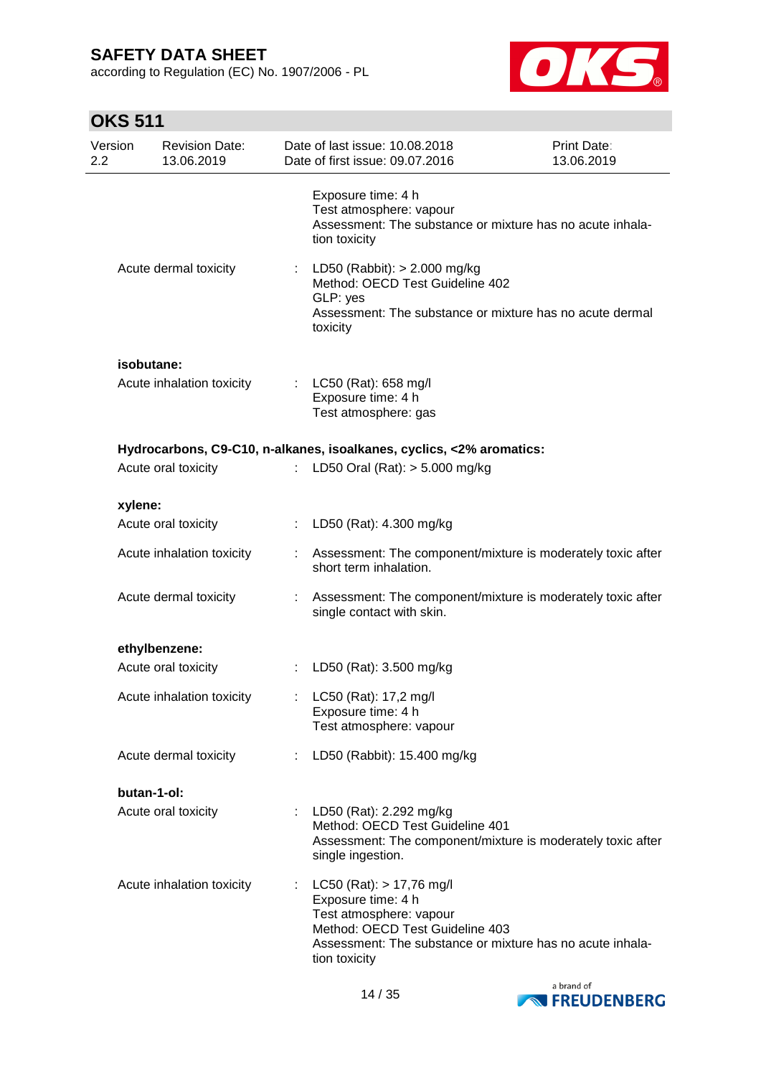according to Regulation (EC) No. 1907/2006 - PL



# **OKS 511**

| Version<br>2.2 | <b>Revision Date:</b><br>13.06.2019 |    | Date of last issue: 10.08.2018<br>Date of first issue: 09.07.2016                                                                                                                              | Print Date:<br>13.06.2019 |
|----------------|-------------------------------------|----|------------------------------------------------------------------------------------------------------------------------------------------------------------------------------------------------|---------------------------|
|                |                                     |    | Exposure time: 4 h<br>Test atmosphere: vapour<br>Assessment: The substance or mixture has no acute inhala-<br>tion toxicity                                                                    |                           |
|                | Acute dermal toxicity               | ÷. | LD50 (Rabbit): > 2.000 mg/kg<br>Method: OECD Test Guideline 402<br>GLP: yes<br>Assessment: The substance or mixture has no acute dermal<br>toxicity                                            |                           |
|                | isobutane:                          |    |                                                                                                                                                                                                |                           |
|                | Acute inhalation toxicity           |    | : $LC50$ (Rat): 658 mg/l<br>Exposure time: 4 h<br>Test atmosphere: gas                                                                                                                         |                           |
|                |                                     |    | Hydrocarbons, C9-C10, n-alkanes, isoalkanes, cyclics, <2% aromatics:                                                                                                                           |                           |
|                | Acute oral toxicity                 |    | LD50 Oral (Rat): $> 5.000$ mg/kg                                                                                                                                                               |                           |
|                | xylene:                             |    |                                                                                                                                                                                                |                           |
|                | Acute oral toxicity                 |    | : LD50 (Rat): 4.300 mg/kg                                                                                                                                                                      |                           |
|                | Acute inhalation toxicity           |    | Assessment: The component/mixture is moderately toxic after<br>short term inhalation.                                                                                                          |                           |
|                | Acute dermal toxicity               |    | Assessment: The component/mixture is moderately toxic after<br>single contact with skin.                                                                                                       |                           |
|                | ethylbenzene:                       |    |                                                                                                                                                                                                |                           |
|                | Acute oral toxicity                 |    | LD50 (Rat): 3.500 mg/kg                                                                                                                                                                        |                           |
|                | Acute inhalation toxicity           |    | LC50 (Rat): 17,2 mg/l<br>Exposure time: 4 h<br>Test atmosphere: vapour                                                                                                                         |                           |
|                | Acute dermal toxicity               |    | LD50 (Rabbit): 15.400 mg/kg                                                                                                                                                                    |                           |
|                | butan-1-ol:                         |    |                                                                                                                                                                                                |                           |
|                | Acute oral toxicity                 |    | : LD50 (Rat): 2.292 mg/kg<br>Method: OECD Test Guideline 401<br>Assessment: The component/mixture is moderately toxic after<br>single ingestion.                                               |                           |
|                | Acute inhalation toxicity           |    | $LC50$ (Rat): $> 17,76$ mg/l<br>Exposure time: 4 h<br>Test atmosphere: vapour<br>Method: OECD Test Guideline 403<br>Assessment: The substance or mixture has no acute inhala-<br>tion toxicity |                           |

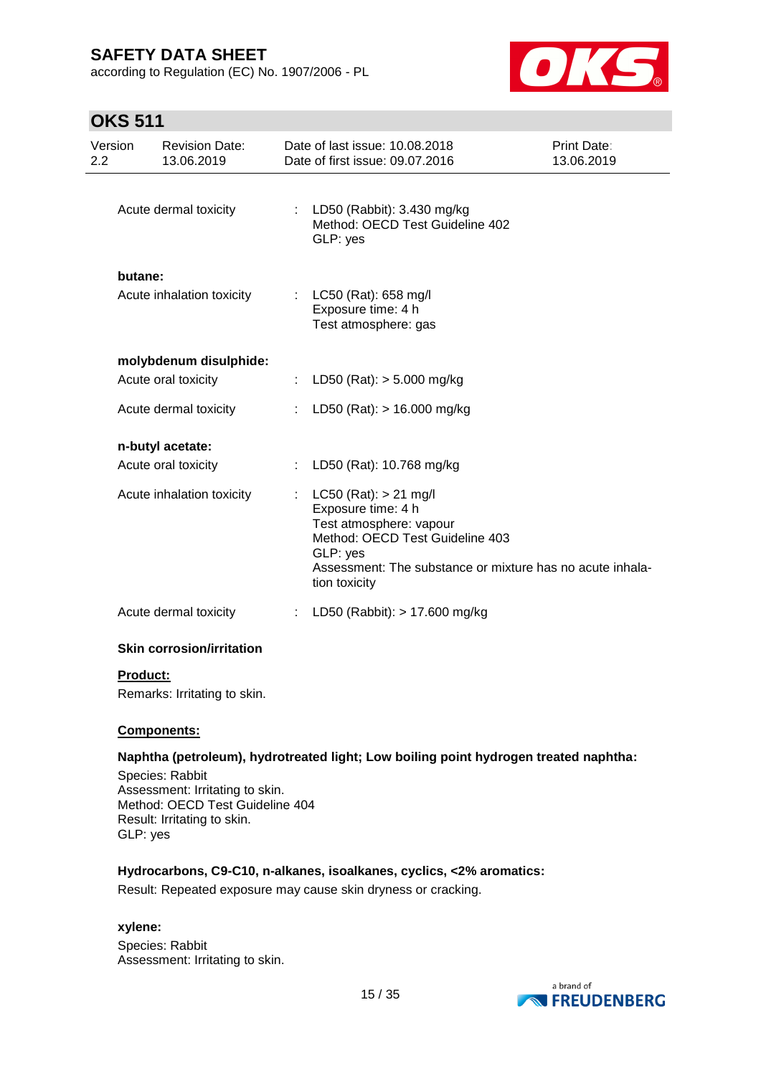according to Regulation (EC) No. 1907/2006 - PL



## **OKS 511**

| Version<br>2.2 | <b>Revision Date:</b><br>13.06.2019          | Date of last issue: 10.08.2018<br>Date of first issue: 09.07.2016                                                                                                                                       | Print Date:<br>13.06.2019 |
|----------------|----------------------------------------------|---------------------------------------------------------------------------------------------------------------------------------------------------------------------------------------------------------|---------------------------|
|                | Acute dermal toxicity                        | : LD50 (Rabbit): 3.430 mg/kg<br>Method: OECD Test Guideline 402<br>GLP: yes                                                                                                                             |                           |
| butane:        | Acute inhalation toxicity                    | : LC50 (Rat): 658 mg/l<br>Exposure time: 4 h<br>Test atmosphere: gas                                                                                                                                    |                           |
|                | molybdenum disulphide:                       |                                                                                                                                                                                                         |                           |
|                | Acute oral toxicity<br>Acute dermal toxicity | : LD50 (Rat): $>$ 5.000 mg/kg<br>LD50 (Rat): $> 16.000$ mg/kg                                                                                                                                           |                           |
|                | n-butyl acetate:                             |                                                                                                                                                                                                         |                           |
|                | Acute oral toxicity                          | LD50 (Rat): 10.768 mg/kg                                                                                                                                                                                |                           |
|                | Acute inhalation toxicity                    | $LC50$ (Rat): $> 21$ mg/l<br>Exposure time: 4 h<br>Test atmosphere: vapour<br>Method: OECD Test Guideline 403<br>GLP: yes<br>Assessment: The substance or mixture has no acute inhala-<br>tion toxicity |                           |
|                | Acute dermal toxicity                        | LD50 (Rabbit): > 17.600 mg/kg<br>÷.                                                                                                                                                                     |                           |
|                | <b>Skin corrosion/irritation</b>             |                                                                                                                                                                                                         |                           |

### **Product:**

Remarks: Irritating to skin.

#### **Components:**

#### **Naphtha (petroleum), hydrotreated light; Low boiling point hydrogen treated naphtha:**

Species: Rabbit Assessment: Irritating to skin. Method: OECD Test Guideline 404 Result: Irritating to skin. GLP: yes

#### **Hydrocarbons, C9-C10, n-alkanes, isoalkanes, cyclics, <2% aromatics:**

Result: Repeated exposure may cause skin dryness or cracking.

#### **xylene:**

Species: Rabbit Assessment: Irritating to skin.

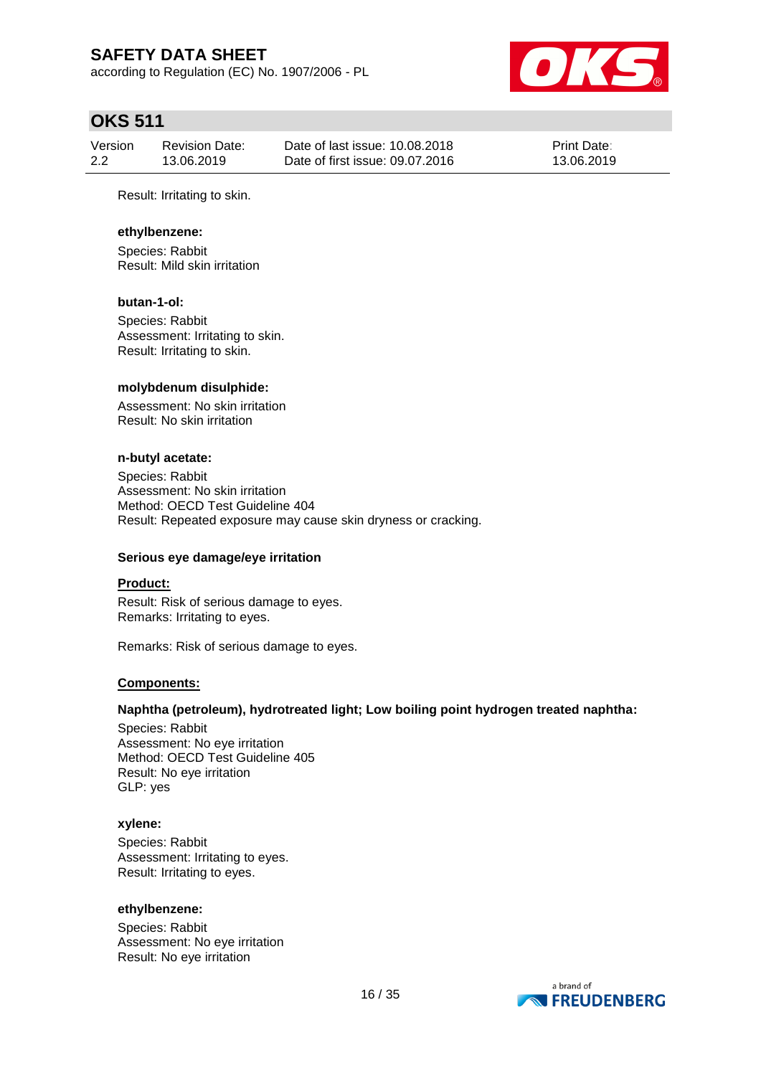according to Regulation (EC) No. 1907/2006 - PL



### **OKS 511**

| Version | Revision Date: | Date of last issue: 10.08.2018  | <b>Print Date:</b> |
|---------|----------------|---------------------------------|--------------------|
| 2.2     | 13.06.2019     | Date of first issue: 09.07.2016 | 13.06.2019         |

Result: Irritating to skin.

#### **ethylbenzene:**

Species: Rabbit Result: Mild skin irritation

#### **butan-1-ol:**

Species: Rabbit Assessment: Irritating to skin. Result: Irritating to skin.

#### **molybdenum disulphide:**

Assessment: No skin irritation Result: No skin irritation

#### **n-butyl acetate:**

Species: Rabbit Assessment: No skin irritation Method: OECD Test Guideline 404 Result: Repeated exposure may cause skin dryness or cracking.

#### **Serious eye damage/eye irritation**

#### **Product:**

Result: Risk of serious damage to eyes. Remarks: Irritating to eyes.

Remarks: Risk of serious damage to eyes.

#### **Components:**

#### **Naphtha (petroleum), hydrotreated light; Low boiling point hydrogen treated naphtha:**

Species: Rabbit Assessment: No eye irritation Method: OECD Test Guideline 405 Result: No eye irritation GLP: yes

#### **xylene:**

Species: Rabbit Assessment: Irritating to eyes. Result: Irritating to eyes.

#### **ethylbenzene:**

Species: Rabbit Assessment: No eye irritation Result: No eye irritation

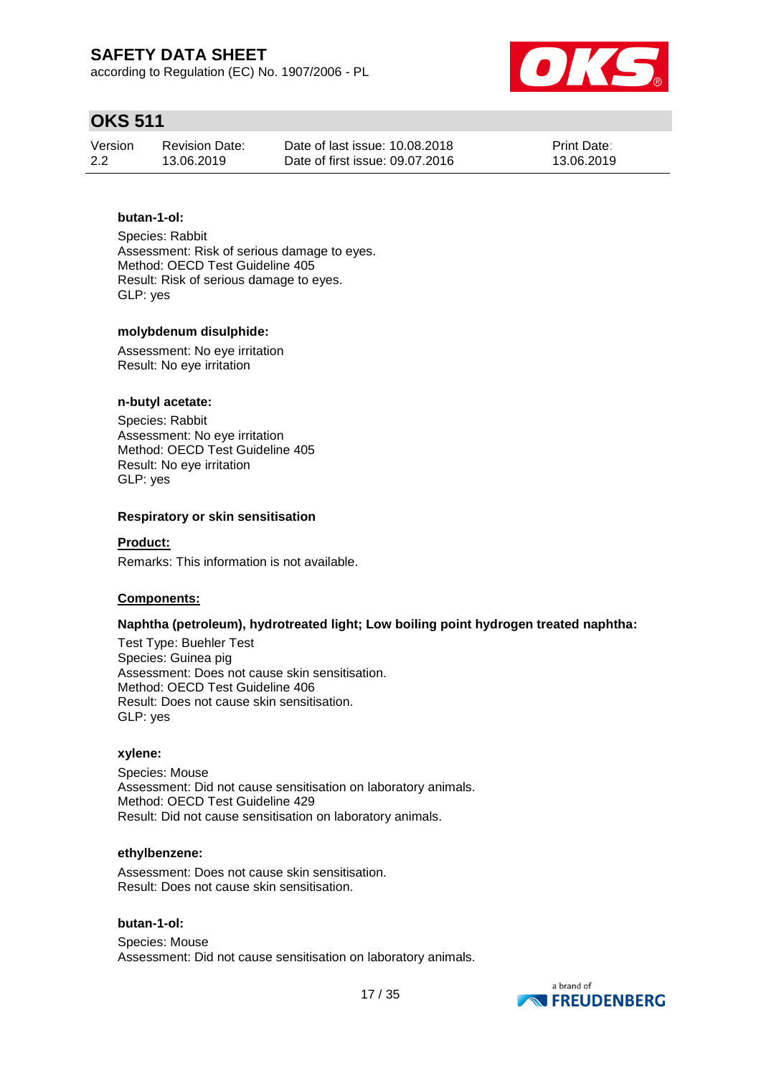according to Regulation (EC) No. 1907/2006 - PL



## **OKS 511**

| Version | <b>Revision Date:</b> | Date of last issue: 10.08.2018  | <b>Print Date:</b> |
|---------|-----------------------|---------------------------------|--------------------|
| 2.2     | 13.06.2019            | Date of first issue: 09.07.2016 | 13.06.2019         |

### **butan-1-ol:**

Species: Rabbit Assessment: Risk of serious damage to eyes. Method: OECD Test Guideline 405 Result: Risk of serious damage to eyes. GLP: yes

#### **molybdenum disulphide:**

Assessment: No eye irritation Result: No eye irritation

#### **n-butyl acetate:**

Species: Rabbit Assessment: No eye irritation Method: OECD Test Guideline 405 Result: No eye irritation GLP: yes

#### **Respiratory or skin sensitisation**

#### **Product:**

Remarks: This information is not available.

#### **Components:**

### **Naphtha (petroleum), hydrotreated light; Low boiling point hydrogen treated naphtha:**

Test Type: Buehler Test Species: Guinea pig Assessment: Does not cause skin sensitisation. Method: OECD Test Guideline 406 Result: Does not cause skin sensitisation. GLP: yes

#### **xylene:**

Species: Mouse Assessment: Did not cause sensitisation on laboratory animals. Method: OECD Test Guideline 429 Result: Did not cause sensitisation on laboratory animals.

#### **ethylbenzene:**

Assessment: Does not cause skin sensitisation. Result: Does not cause skin sensitisation.

#### **butan-1-ol:**

Species: Mouse Assessment: Did not cause sensitisation on laboratory animals.

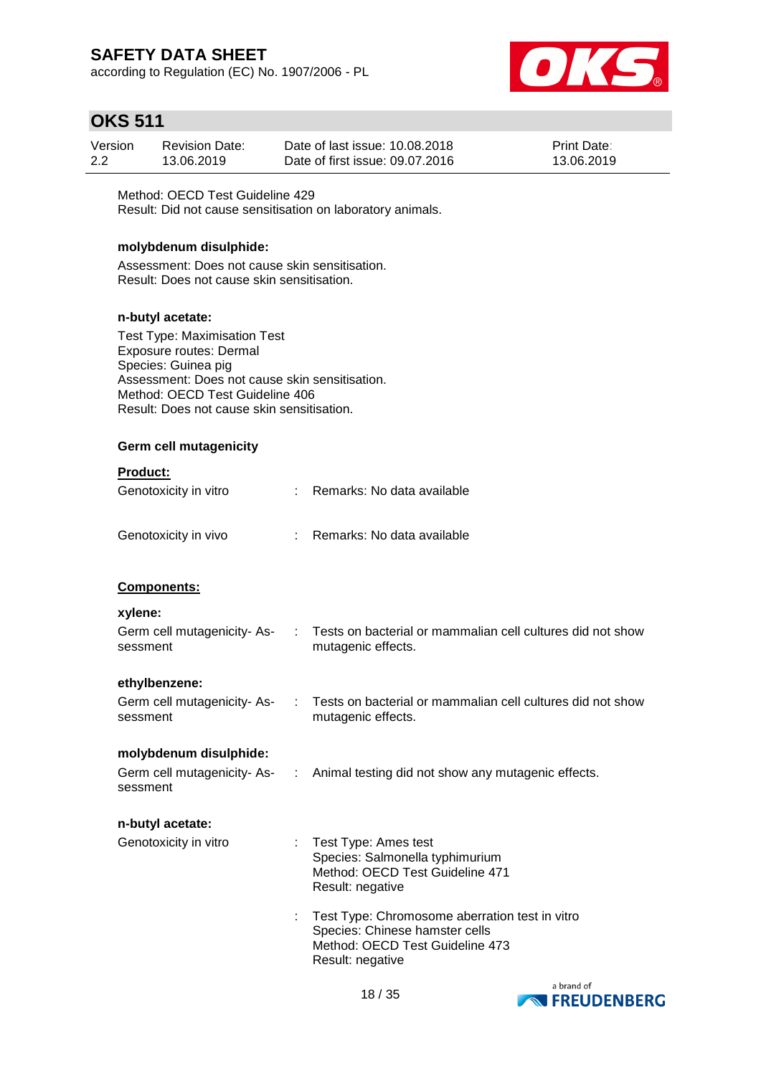according to Regulation (EC) No. 1907/2006 - PL



### **OKS 511**

| Version | <b>Revision Date:</b> | Date of last issue: 10.08.2018  | <b>Print Date:</b> |
|---------|-----------------------|---------------------------------|--------------------|
| 2.2     | 13.06.2019            | Date of first issue: 09.07.2016 | 13.06.2019         |

Method: OECD Test Guideline 429 Result: Did not cause sensitisation on laboratory animals.

#### **molybdenum disulphide:**

Assessment: Does not cause skin sensitisation. Result: Does not cause skin sensitisation.

#### **n-butyl acetate:**

Test Type: Maximisation Test Exposure routes: Dermal Species: Guinea pig Assessment: Does not cause skin sensitisation. Method: OECD Test Guideline 406 Result: Does not cause skin sensitisation.

### **Germ cell mutagenicity**

#### **Product:**

| Genotoxicity in vitro | : Remarks: No data available |
|-----------------------|------------------------------|
| Genotoxicity in vivo  | : Remarks: No data available |

#### **Components:**

#### **xylene:**

| AVIVIIV.                                |                                                                                  |
|-----------------------------------------|----------------------------------------------------------------------------------|
| Germ cell mutagenicity- As-<br>sessment | Tests on bacterial or mammalian cell cultures did not show<br>mutagenic effects. |
|                                         |                                                                                  |

#### **ethylbenzene:**

| Germ cell mutagenicity-As- | Tests on bacterial or mammalian cell cultures did not show |
|----------------------------|------------------------------------------------------------|
| sessment                   | mutagenic effects.                                         |

#### **molybdenum disulphide:**

| Germ cell mutagenicity-As- | Animal testing did not show any mutagenic effects. |
|----------------------------|----------------------------------------------------|
| sessment                   |                                                    |

### **n-butyl acetate:**

| Genotoxicity in vitro | : Test Type: Ames test<br>Species: Salmonella typhimurium<br>Method: OECD Test Guideline 471<br>Result: negative |  |
|-----------------------|------------------------------------------------------------------------------------------------------------------|--|
|                       |                                                                                                                  |  |

: Test Type: Chromosome aberration test in vitro Species: Chinese hamster cells Method: OECD Test Guideline 473 Result: negative

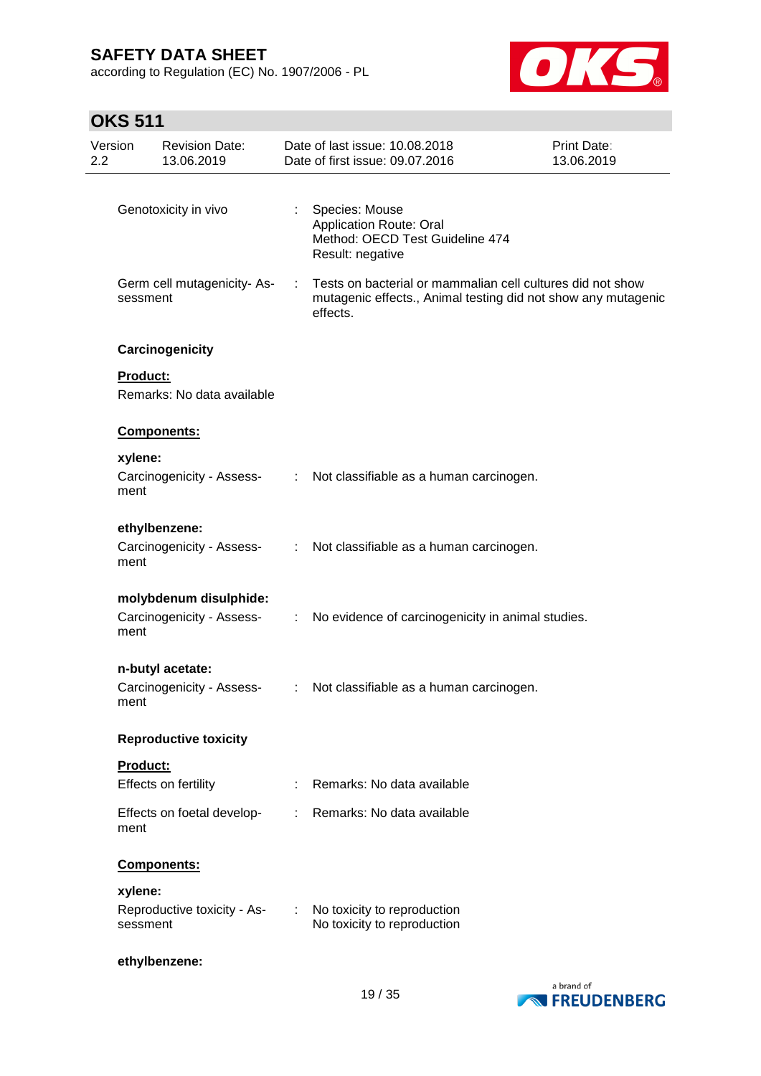according to Regulation (EC) No. 1907/2006 - PL



# **OKS 511**

| Version<br>2.2 |                 | <b>Revision Date:</b><br>13.06.2019                 |                             | Date of last issue: 10.08.2018<br>Date of first issue: 09.07.2016                                                                                           | <b>Print Date:</b><br>13.06.2019 |
|----------------|-----------------|-----------------------------------------------------|-----------------------------|-------------------------------------------------------------------------------------------------------------------------------------------------------------|----------------------------------|
|                |                 | Genotoxicity in vivo                                | $\mathbb{R}^n$              | Species: Mouse<br><b>Application Route: Oral</b><br>Method: OECD Test Guideline 474                                                                         |                                  |
|                | sessment        | Germ cell mutagenicity-As-                          |                             | Result: negative<br>Tests on bacterial or mammalian cell cultures did not show<br>mutagenic effects., Animal testing did not show any mutagenic<br>effects. |                                  |
|                | Product:        | Carcinogenicity                                     |                             |                                                                                                                                                             |                                  |
|                |                 | Remarks: No data available                          |                             |                                                                                                                                                             |                                  |
|                |                 | Components:                                         |                             |                                                                                                                                                             |                                  |
|                | xylene:<br>ment | Carcinogenicity - Assess-                           | $\mathcal{L}^{\mathcal{L}}$ | Not classifiable as a human carcinogen.                                                                                                                     |                                  |
|                | ment            | ethylbenzene:<br>Carcinogenicity - Assess-          | ÷.                          | Not classifiable as a human carcinogen.                                                                                                                     |                                  |
|                | ment            | molybdenum disulphide:<br>Carcinogenicity - Assess- | $\mathbb{Z}^n$              | No evidence of carcinogenicity in animal studies.                                                                                                           |                                  |
|                | ment            | n-butyl acetate:<br>Carcinogenicity - Assess-       | $\mathcal{L}^{\text{max}}$  | Not classifiable as a human carcinogen.                                                                                                                     |                                  |
|                |                 | <b>Reproductive toxicity</b>                        |                             |                                                                                                                                                             |                                  |
|                | Product:        | Effects on fertility                                |                             | Remarks: No data available                                                                                                                                  |                                  |
|                | ment            | Effects on foetal develop-                          |                             | Remarks: No data available                                                                                                                                  |                                  |
|                |                 | Components:                                         |                             |                                                                                                                                                             |                                  |
|                | xylene:         | Reproductive toxicity - As-                         |                             | No toxicity to reproduction                                                                                                                                 |                                  |
|                | sessment        |                                                     |                             | No toxicity to reproduction                                                                                                                                 |                                  |
|                |                 | ethylbenzene:                                       |                             |                                                                                                                                                             |                                  |

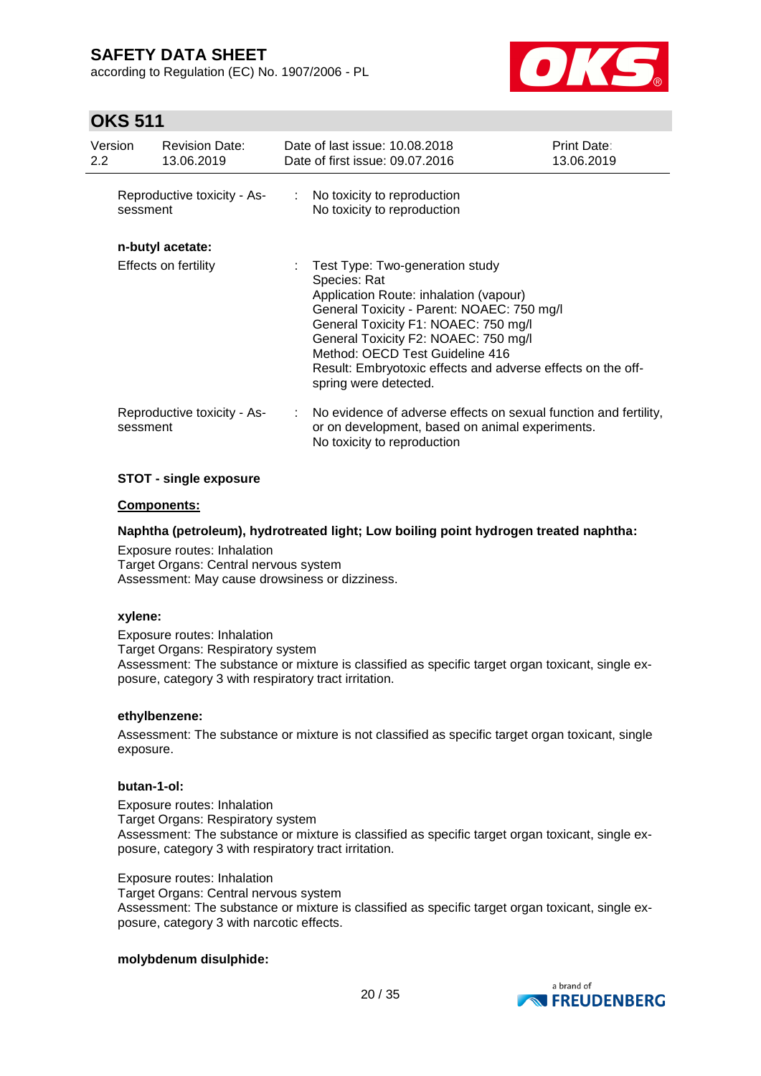according to Regulation (EC) No. 1907/2006 - PL



### **OKS 511**

| Version<br>$2.2^{\circ}$ |          | <b>Revision Date:</b><br>13.06.2019 | Date of last issue: 10.08.2018<br>Date of first issue: 09.07.2016                                                                                                                                                                                                                                                                                  | <b>Print Date:</b><br>13.06.2019 |
|--------------------------|----------|-------------------------------------|----------------------------------------------------------------------------------------------------------------------------------------------------------------------------------------------------------------------------------------------------------------------------------------------------------------------------------------------------|----------------------------------|
|                          | sessment | Reproductive toxicity - As-         | : No toxicity to reproduction<br>No toxicity to reproduction                                                                                                                                                                                                                                                                                       |                                  |
|                          |          | n-butyl acetate:                    |                                                                                                                                                                                                                                                                                                                                                    |                                  |
|                          |          | Effects on fertility                | Test Type: Two-generation study<br>Species: Rat<br>Application Route: inhalation (vapour)<br>General Toxicity - Parent: NOAEC: 750 mg/l<br>General Toxicity F1: NOAEC: 750 mg/l<br>General Toxicity F2: NOAEC: 750 mg/l<br>Method: OECD Test Guideline 416<br>Result: Embryotoxic effects and adverse effects on the off-<br>spring were detected. |                                  |
|                          | sessment | Reproductive toxicity - As-         | : No evidence of adverse effects on sexual function and fertility,<br>or on development, based on animal experiments.<br>No toxicity to reproduction                                                                                                                                                                                               |                                  |

#### **STOT - single exposure**

#### **Components:**

#### **Naphtha (petroleum), hydrotreated light; Low boiling point hydrogen treated naphtha:**

Exposure routes: Inhalation Target Organs: Central nervous system Assessment: May cause drowsiness or dizziness.

#### **xylene:**

Exposure routes: Inhalation Target Organs: Respiratory system Assessment: The substance or mixture is classified as specific target organ toxicant, single exposure, category 3 with respiratory tract irritation.

#### **ethylbenzene:**

Assessment: The substance or mixture is not classified as specific target organ toxicant, single exposure.

#### **butan-1-ol:**

Exposure routes: Inhalation Target Organs: Respiratory system Assessment: The substance or mixture is classified as specific target organ toxicant, single exposure, category 3 with respiratory tract irritation.

Exposure routes: Inhalation Target Organs: Central nervous system Assessment: The substance or mixture is classified as specific target organ toxicant, single exposure, category 3 with narcotic effects.

#### **molybdenum disulphide:**

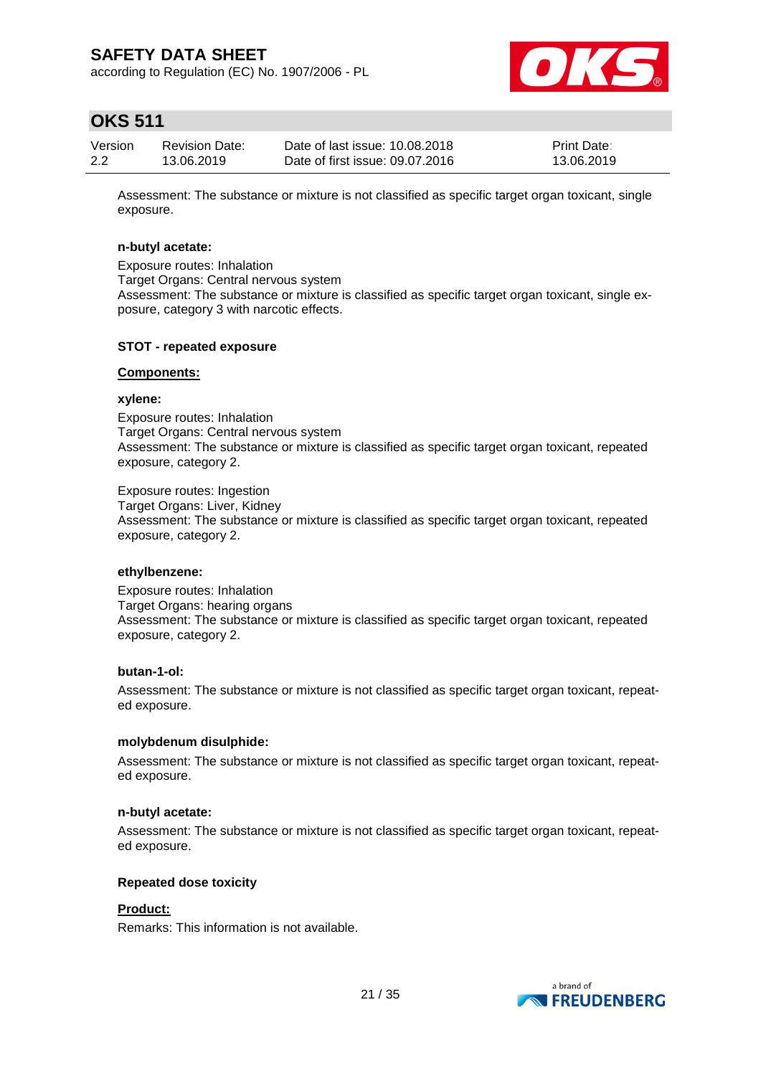according to Regulation (EC) No. 1907/2006 - PL



## **OKS 511**

| Version | <b>Revision Date:</b> | Date of last issue: 10.08.2018  | <b>Print Date:</b> |
|---------|-----------------------|---------------------------------|--------------------|
| 2.2     | 13.06.2019            | Date of first issue: 09.07.2016 | 13.06.2019         |

Assessment: The substance or mixture is not classified as specific target organ toxicant, single exposure.

#### **n-butyl acetate:**

Exposure routes: Inhalation Target Organs: Central nervous system Assessment: The substance or mixture is classified as specific target organ toxicant, single exposure, category 3 with narcotic effects.

#### **STOT - repeated exposure**

#### **Components:**

#### **xylene:**

Exposure routes: Inhalation Target Organs: Central nervous system Assessment: The substance or mixture is classified as specific target organ toxicant, repeated exposure, category 2.

Exposure routes: Ingestion Target Organs: Liver, Kidney Assessment: The substance or mixture is classified as specific target organ toxicant, repeated exposure, category 2.

#### **ethylbenzene:**

Exposure routes: Inhalation Target Organs: hearing organs Assessment: The substance or mixture is classified as specific target organ toxicant, repeated exposure, category 2.

#### **butan-1-ol:**

Assessment: The substance or mixture is not classified as specific target organ toxicant, repeated exposure.

#### **molybdenum disulphide:**

Assessment: The substance or mixture is not classified as specific target organ toxicant, repeated exposure.

#### **n-butyl acetate:**

Assessment: The substance or mixture is not classified as specific target organ toxicant, repeated exposure.

#### **Repeated dose toxicity**

#### **Product:**

Remarks: This information is not available.

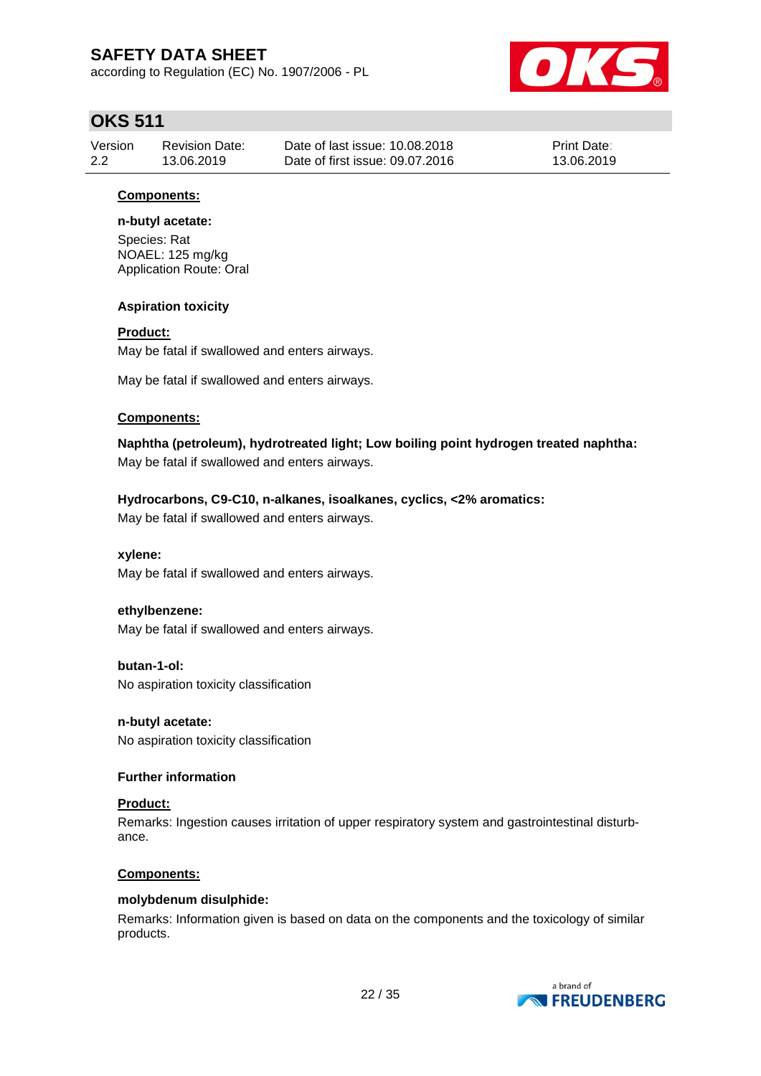according to Regulation (EC) No. 1907/2006 - PL



## **OKS 511**

| Version | Revision Date: | Date of last issue: 10.08.2018  | <b>Print Date:</b> |
|---------|----------------|---------------------------------|--------------------|
| 2.2     | 13.06.2019     | Date of first issue: 09.07.2016 | 13.06.2019         |

### **Components:**

### **n-butyl acetate:**

Species: Rat NOAEL: 125 mg/kg Application Route: Oral

### **Aspiration toxicity**

### **Product:**

May be fatal if swallowed and enters airways.

May be fatal if swallowed and enters airways.

### **Components:**

**Naphtha (petroleum), hydrotreated light; Low boiling point hydrogen treated naphtha:** May be fatal if swallowed and enters airways.

### **Hydrocarbons, C9-C10, n-alkanes, isoalkanes, cyclics, <2% aromatics:**

May be fatal if swallowed and enters airways.

#### **xylene:**

May be fatal if swallowed and enters airways.

#### **ethylbenzene:**

May be fatal if swallowed and enters airways.

**butan-1-ol:** No aspiration toxicity classification

**n-butyl acetate:** No aspiration toxicity classification

#### **Further information**

#### **Product:**

Remarks: Ingestion causes irritation of upper respiratory system and gastrointestinal disturbance.

#### **Components:**

#### **molybdenum disulphide:**

Remarks: Information given is based on data on the components and the toxicology of similar products.

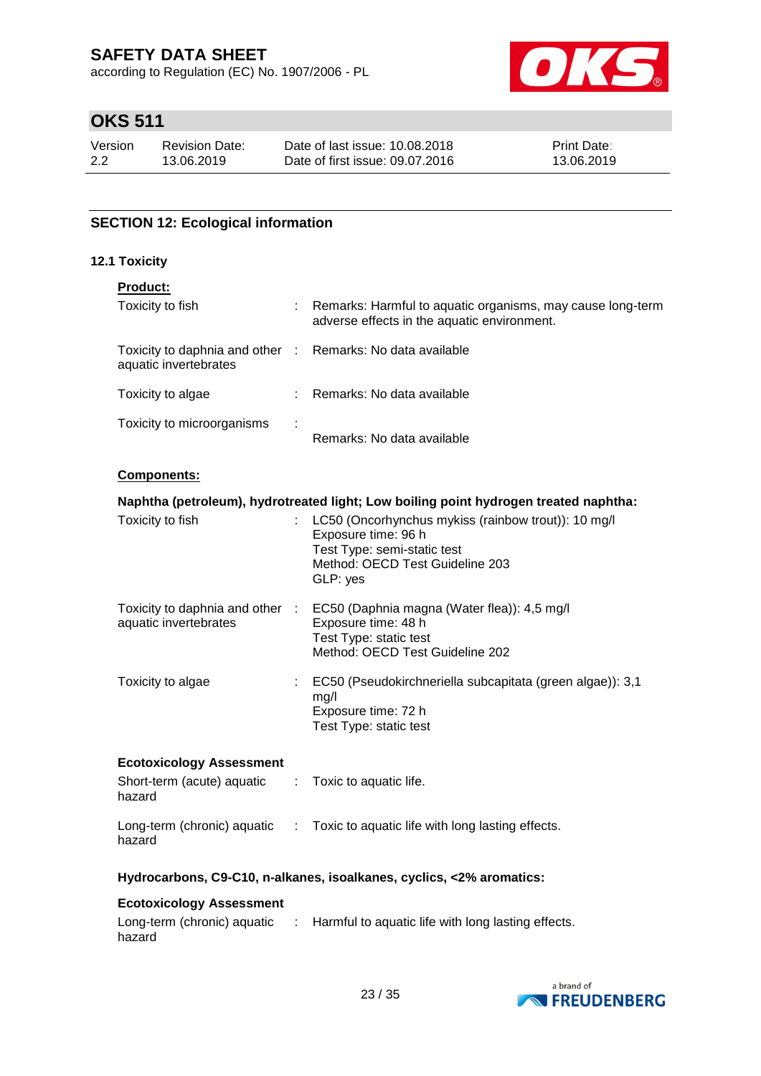according to Regulation (EC) No. 1907/2006 - PL



# **OKS 511**

| Version | <b>Revision Date:</b> | Date of last issue: 10.08.2018  | <b>Print Date:</b> |
|---------|-----------------------|---------------------------------|--------------------|
| 2.2     | 13.06.2019            | Date of first issue: 09.07.2016 | 13.06.2019         |

### **SECTION 12: Ecological information**

#### **12.1 Toxicity**

### **Product:**

| Toxicity to fish                                                                    | ÷ | Remarks: Harmful to aquatic organisms, may cause long-term<br>adverse effects in the aquatic environment. |
|-------------------------------------------------------------------------------------|---|-----------------------------------------------------------------------------------------------------------|
| Toxicity to daphnia and other : Remarks: No data available<br>aquatic invertebrates |   |                                                                                                           |
| Toxicity to algae                                                                   | ÷ | Remarks: No data available                                                                                |
| Toxicity to microorganisms                                                          | ÷ | Remarks: No data available                                                                                |

#### **Components:**

|                                                          | Naphtha (petroleum), hydrotreated light; Low boiling point hydrogen treated naphtha:                                                                       |
|----------------------------------------------------------|------------------------------------------------------------------------------------------------------------------------------------------------------------|
| Toxicity to fish                                         | : LC50 (Oncorhynchus mykiss (rainbow trout)): 10 mg/l<br>Exposure time: 96 h<br>Test Type: semi-static test<br>Method: OECD Test Guideline 203<br>GLP: yes |
| Toxicity to daphnia and other :<br>aquatic invertebrates | EC50 (Daphnia magna (Water flea)): 4,5 mg/l<br>Exposure time: 48 h<br>Test Type: static test<br>Method: OECD Test Guideline 202                            |
| Toxicity to algae                                        | EC50 (Pseudokirchneriella subcapitata (green algae)): 3,1<br>mg/l<br>Exposure time: 72 h<br>Test Type: static test                                         |
| <b>Ecotoxicology Assessment</b>                          |                                                                                                                                                            |

| Short-term (acute) aquatic<br>hazard  | $\therefore$ Toxic to aquatic life.                |
|---------------------------------------|----------------------------------------------------|
| Long-term (chronic) aquatic<br>hazard | : Toxic to aquatic life with long lasting effects. |

### **Hydrocarbons, C9-C10, n-alkanes, isoalkanes, cyclics, <2% aromatics:**

#### **Ecotoxicology Assessment**

| Long-term (chronic) aquatic | : Harmful to aquatic life with long lasting effects. |
|-----------------------------|------------------------------------------------------|
| hazard                      |                                                      |

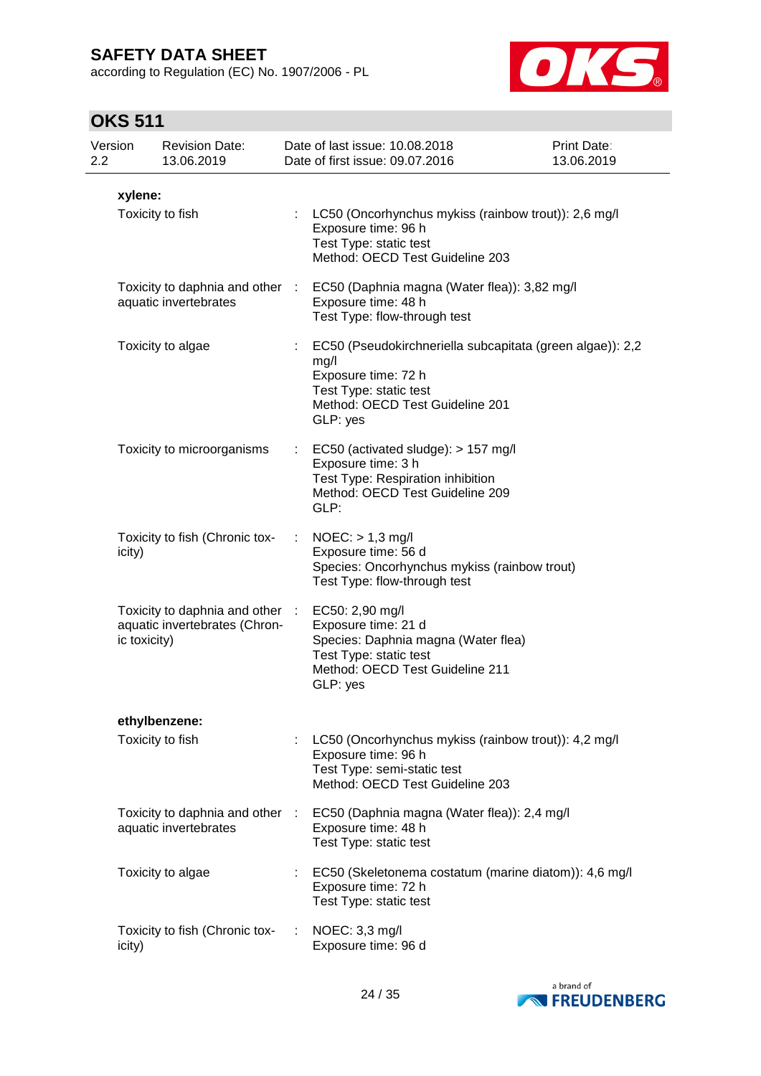according to Regulation (EC) No. 1907/2006 - PL



## **OKS 511**

| Version<br>$2.2\,$ |                  | <b>Revision Date:</b><br>13.06.2019                              |    | Date of last issue: 10.08.2018<br>Date of first issue: 09.07.2016                                                                                                 | Print Date:<br>13.06.2019 |
|--------------------|------------------|------------------------------------------------------------------|----|-------------------------------------------------------------------------------------------------------------------------------------------------------------------|---------------------------|
|                    | xylene:          |                                                                  |    |                                                                                                                                                                   |                           |
|                    | Toxicity to fish |                                                                  |    | : LC50 (Oncorhynchus mykiss (rainbow trout)): 2,6 mg/l<br>Exposure time: 96 h<br>Test Type: static test<br>Method: OECD Test Guideline 203                        |                           |
|                    |                  | aquatic invertebrates                                            |    | Toxicity to daphnia and other : EC50 (Daphnia magna (Water flea)): 3,82 mg/l<br>Exposure time: 48 h<br>Test Type: flow-through test                               |                           |
|                    |                  | Toxicity to algae                                                | ÷. | EC50 (Pseudokirchneriella subcapitata (green algae)): 2,2<br>mg/l<br>Exposure time: 72 h<br>Test Type: static test<br>Method: OECD Test Guideline 201<br>GLP: yes |                           |
|                    |                  | Toxicity to microorganisms                                       |    | $\therefore$ EC50 (activated sludge): > 157 mg/l<br>Exposure time: 3 h<br>Test Type: Respiration inhibition<br>Method: OECD Test Guideline 209<br>GLP:            |                           |
|                    | icity)           | Toxicity to fish (Chronic tox-                                   | ÷. | $NOEC:$ > 1,3 mg/l<br>Exposure time: 56 d<br>Species: Oncorhynchus mykiss (rainbow trout)<br>Test Type: flow-through test                                         |                           |
|                    | ic toxicity)     | Toxicity to daphnia and other :<br>aquatic invertebrates (Chron- |    | EC50: 2,90 mg/l<br>Exposure time: 21 d<br>Species: Daphnia magna (Water flea)<br>Test Type: static test<br>Method: OECD Test Guideline 211<br>GLP: yes            |                           |
|                    |                  | ethylbenzene:                                                    |    |                                                                                                                                                                   |                           |
|                    |                  | Toxicity to fish                                                 |    | LC50 (Oncorhynchus mykiss (rainbow trout)): 4,2 mg/l<br>Exposure time: 96 h<br>Test Type: semi-static test<br>Method: OECD Test Guideline 203                     |                           |
|                    |                  | Toxicity to daphnia and other :<br>aquatic invertebrates         |    | EC50 (Daphnia magna (Water flea)): 2,4 mg/l<br>Exposure time: 48 h<br>Test Type: static test                                                                      |                           |
|                    |                  | Toxicity to algae                                                |    | EC50 (Skeletonema costatum (marine diatom)): 4,6 mg/l<br>Exposure time: 72 h<br>Test Type: static test                                                            |                           |
|                    | icity)           | Toxicity to fish (Chronic tox-                                   | ÷  | NOEC: 3,3 mg/l<br>Exposure time: 96 d                                                                                                                             |                           |

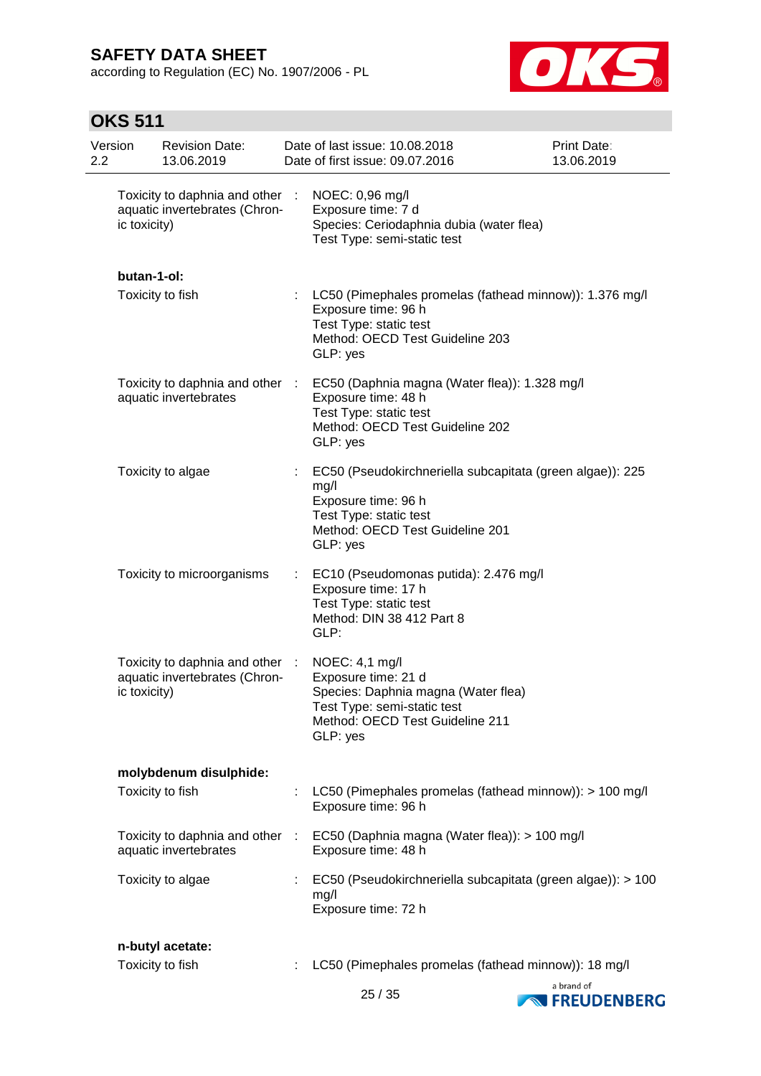according to Regulation (EC) No. 1907/2006 - PL



## **OKS 511**

| Version<br>2.2 |              | <b>Revision Date:</b><br>13.06.2019                            |               | Date of last issue: 10.08.2018<br>Date of first issue: 09.07.2016                                                                                                 | Print Date:<br>13.06.2019 |
|----------------|--------------|----------------------------------------------------------------|---------------|-------------------------------------------------------------------------------------------------------------------------------------------------------------------|---------------------------|
|                | ic toxicity) | Toxicity to daphnia and other<br>aquatic invertebrates (Chron- | ÷             | NOEC: 0,96 mg/l<br>Exposure time: 7 d<br>Species: Ceriodaphnia dubia (water flea)<br>Test Type: semi-static test                                                  |                           |
|                | butan-1-ol:  |                                                                |               |                                                                                                                                                                   |                           |
|                |              | Toxicity to fish                                               |               | LC50 (Pimephales promelas (fathead minnow)): 1.376 mg/l<br>Exposure time: 96 h<br>Test Type: static test<br>Method: OECD Test Guideline 203<br>GLP: yes           |                           |
|                |              | Toxicity to daphnia and other<br>aquatic invertebrates         | $\mathcal{L}$ | EC50 (Daphnia magna (Water flea)): 1.328 mg/l<br>Exposure time: 48 h<br>Test Type: static test<br>Method: OECD Test Guideline 202<br>GLP: yes                     |                           |
|                |              | Toxicity to algae                                              |               | EC50 (Pseudokirchneriella subcapitata (green algae)): 225<br>mg/l<br>Exposure time: 96 h<br>Test Type: static test<br>Method: OECD Test Guideline 201<br>GLP: yes |                           |
|                |              | Toxicity to microorganisms                                     | ÷             | EC10 (Pseudomonas putida): 2.476 mg/l<br>Exposure time: 17 h<br>Test Type: static test<br>Method: DIN 38 412 Part 8<br>GLP:                                       |                           |
|                | ic toxicity) | Toxicity to daphnia and other<br>aquatic invertebrates (Chron- | ÷             | NOEC: 4,1 mg/l<br>Exposure time: 21 d<br>Species: Daphnia magna (Water flea)<br>Test Type: semi-static test<br>Method: OECD Test Guideline 211<br>GLP: yes        |                           |
|                |              | molybdenum disulphide:                                         |               |                                                                                                                                                                   |                           |
|                |              | Toxicity to fish                                               |               | LC50 (Pimephales promelas (fathead minnow)): > 100 mg/l<br>Exposure time: 96 h                                                                                    |                           |
|                |              | Toxicity to daphnia and other<br>aquatic invertebrates         | ÷             | EC50 (Daphnia magna (Water flea)): > 100 mg/l<br>Exposure time: 48 h                                                                                              |                           |
|                |              | Toxicity to algae                                              |               | EC50 (Pseudokirchneriella subcapitata (green algae)): > 100<br>mg/l<br>Exposure time: 72 h                                                                        |                           |
|                |              | n-butyl acetate:                                               |               |                                                                                                                                                                   |                           |
|                |              | Toxicity to fish                                               |               | LC50 (Pimephales promelas (fathead minnow)): 18 mg/l                                                                                                              | a brand of                |

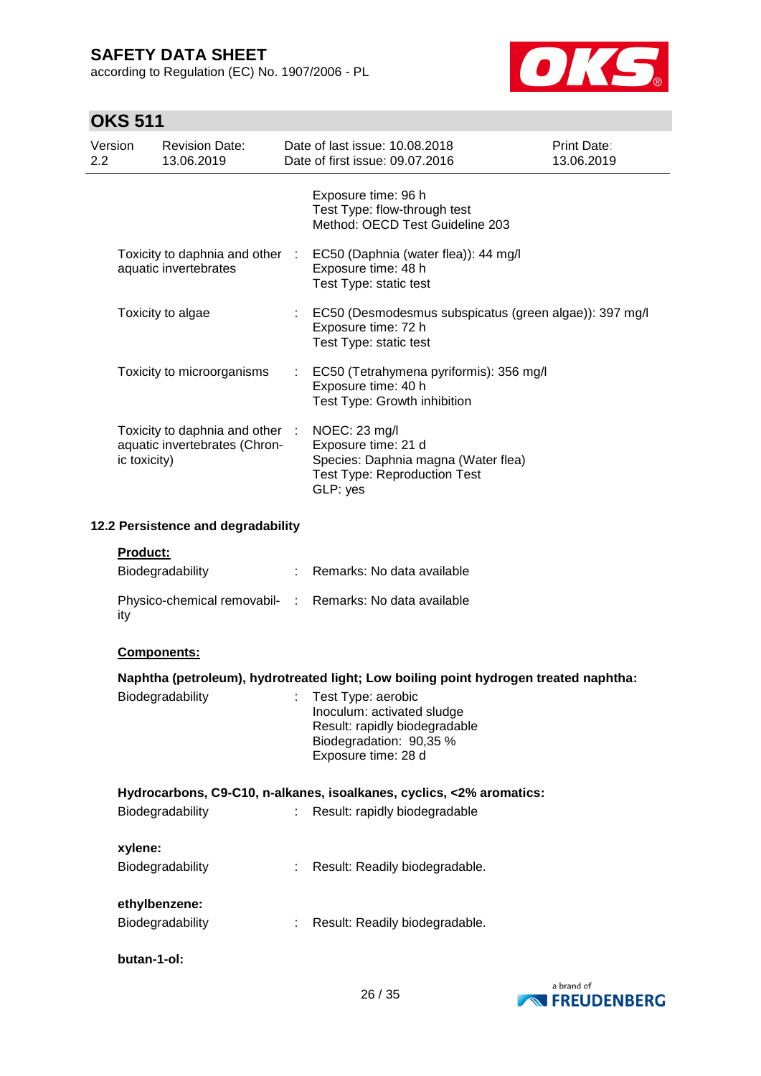according to Regulation (EC) No. 1907/2006 - PL



# **OKS 511**

| Version<br>2.2 |                 | <b>Revision Date:</b><br>13.06.2019                              | Date of last issue: 10.08.2018<br>Date of first issue: 09.07.2016                                                                   | Print Date:<br>13.06.2019 |
|----------------|-----------------|------------------------------------------------------------------|-------------------------------------------------------------------------------------------------------------------------------------|---------------------------|
|                |                 |                                                                  | Exposure time: 96 h<br>Test Type: flow-through test<br>Method: OECD Test Guideline 203                                              |                           |
|                |                 | Toxicity to daphnia and other :<br>aquatic invertebrates         | EC50 (Daphnia (water flea)): 44 mg/l<br>Exposure time: 48 h<br>Test Type: static test                                               |                           |
|                |                 | Toxicity to algae                                                | EC50 (Desmodesmus subspicatus (green algae)): 397 mg/l<br>Exposure time: 72 h<br>Test Type: static test                             |                           |
|                |                 | Toxicity to microorganisms                                       | EC50 (Tetrahymena pyriformis): 356 mg/l<br>Exposure time: 40 h<br>Test Type: Growth inhibition                                      |                           |
|                | ic toxicity)    | Toxicity to daphnia and other :<br>aquatic invertebrates (Chron- | NOEC: 23 mg/l<br>Exposure time: 21 d<br>Species: Daphnia magna (Water flea)<br><b>Test Type: Reproduction Test</b><br>GLP: yes      |                           |
|                |                 | 12.2 Persistence and degradability                               |                                                                                                                                     |                           |
|                | <b>Product:</b> | Biodegradability                                                 | Remarks: No data available                                                                                                          |                           |
|                | ity             |                                                                  | Physico-chemical removabil- : Remarks: No data available                                                                            |                           |
|                |                 | Components:                                                      |                                                                                                                                     |                           |
|                |                 |                                                                  | Naphtha (petroleum), hydrotreated light; Low boiling point hydrogen treated naphtha:                                                |                           |
|                |                 | Biodegradability                                                 | Test Type: aerobic<br>Inoculum: activated sludge<br>Result: rapidly biodegradable<br>Biodegradation: 90,35 %<br>Exposure time: 28 d |                           |

### **Hydrocarbons, C9-C10, n-alkanes, isoalkanes, cyclics, <2% aromatics:** Biodegradability : Result: rapidly biodegradable

| t. | Result: Readily biodegradable. |
|----|--------------------------------|
|    |                                |
|    |                                |
|    | Result: Readily biodegradable. |
|    |                                |

**butan-1-ol:**

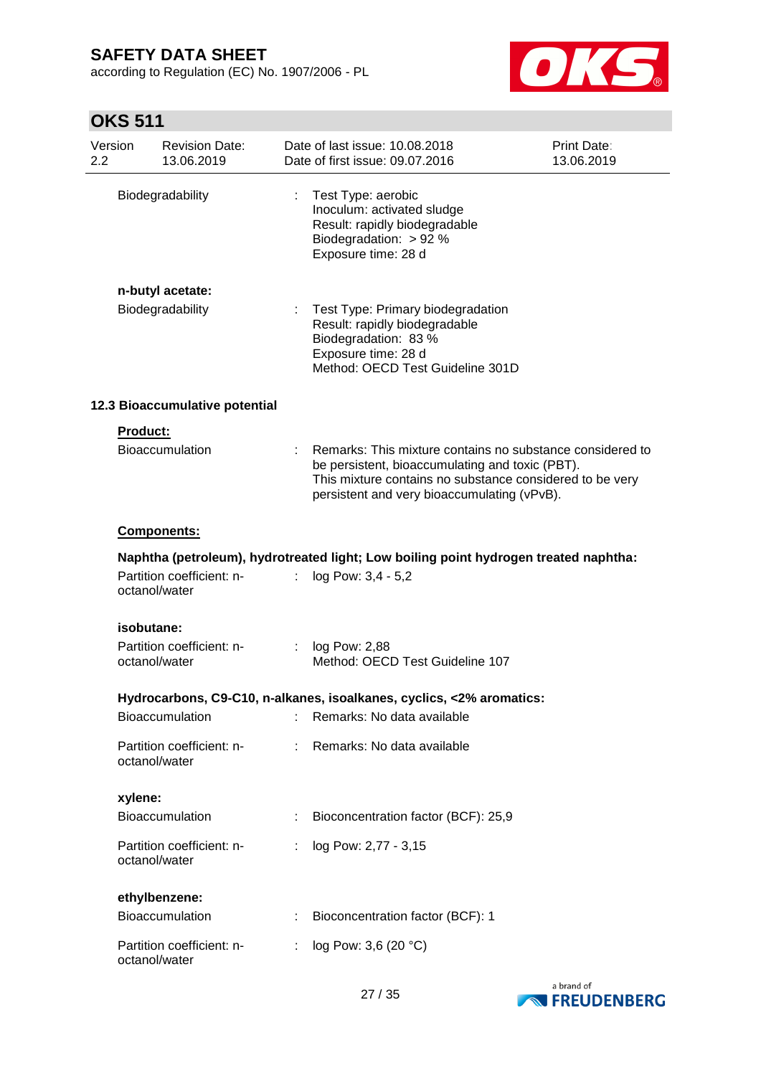according to Regulation (EC) No. 1907/2006 - PL



# **OKS 511**

| Version<br>2.2  | <b>Revision Date:</b><br>13.06.2019        |    | Date of last issue: 10.08.2018<br>Date of first issue: 09.07.2016                                                                                                                                                       | Print Date:<br>13.06.2019 |
|-----------------|--------------------------------------------|----|-------------------------------------------------------------------------------------------------------------------------------------------------------------------------------------------------------------------------|---------------------------|
|                 | Biodegradability                           | ÷. | Test Type: aerobic<br>Inoculum: activated sludge<br>Result: rapidly biodegradable<br>Biodegradation: > 92 %<br>Exposure time: 28 d                                                                                      |                           |
|                 | n-butyl acetate:<br>Biodegradability       |    | Test Type: Primary biodegradation<br>Result: rapidly biodegradable<br>Biodegradation: 83 %<br>Exposure time: 28 d<br>Method: OECD Test Guideline 301D                                                                   |                           |
|                 | 12.3 Bioaccumulative potential             |    |                                                                                                                                                                                                                         |                           |
| <b>Product:</b> | Bioaccumulation                            |    | Remarks: This mixture contains no substance considered to<br>be persistent, bioaccumulating and toxic (PBT).<br>This mixture contains no substance considered to be very<br>persistent and very bioaccumulating (vPvB). |                           |
|                 | Components:                                |    |                                                                                                                                                                                                                         |                           |
|                 |                                            |    | Naphtha (petroleum), hydrotreated light; Low boiling point hydrogen treated naphtha:                                                                                                                                    |                           |
|                 | Partition coefficient: n-<br>octanol/water |    | log Pow: 3,4 - 5,2                                                                                                                                                                                                      |                           |
|                 | isobutane:                                 |    |                                                                                                                                                                                                                         |                           |
|                 | Partition coefficient: n-<br>octanol/water |    | log Pow: 2,88<br>Method: OECD Test Guideline 107                                                                                                                                                                        |                           |
|                 |                                            |    | Hydrocarbons, C9-C10, n-alkanes, isoalkanes, cyclics, <2% aromatics:                                                                                                                                                    |                           |
|                 | Bioaccumulation                            |    | Remarks: No data available                                                                                                                                                                                              |                           |
|                 | Partition coefficient: n-<br>octanol/water |    | Remarks: No data available                                                                                                                                                                                              |                           |
| xylene:         |                                            |    |                                                                                                                                                                                                                         |                           |
|                 | Bioaccumulation                            |    | Bioconcentration factor (BCF): 25,9                                                                                                                                                                                     |                           |
|                 | Partition coefficient: n-<br>octanol/water |    | log Pow: 2,77 - 3,15                                                                                                                                                                                                    |                           |
|                 | ethylbenzene:                              |    |                                                                                                                                                                                                                         |                           |
|                 | Bioaccumulation                            |    | Bioconcentration factor (BCF): 1                                                                                                                                                                                        |                           |
|                 | Partition coefficient: n-<br>octanol/water |    | log Pow: 3,6 (20 °C)                                                                                                                                                                                                    |                           |

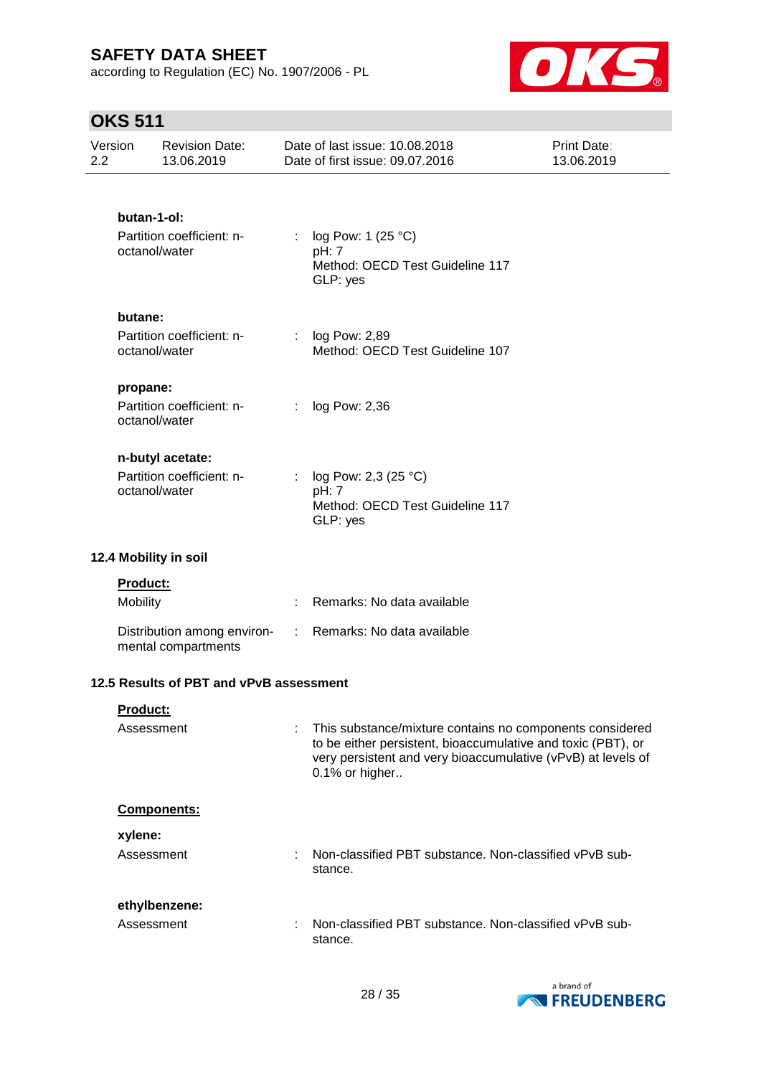according to Regulation (EC) No. 1907/2006 - PL



## **OKS 511**

| Version<br>2.2 |               | <b>Revision Date:</b><br>13.06.2019                |               | Date of last issue: 10.08.2018<br>Date of first issue: 09.07.2016                                                                                                                                          | Print Date:<br>13.06.2019 |
|----------------|---------------|----------------------------------------------------|---------------|------------------------------------------------------------------------------------------------------------------------------------------------------------------------------------------------------------|---------------------------|
|                | butan-1-ol:   |                                                    |               |                                                                                                                                                                                                            |                           |
|                | octanol/water | Partition coefficient: n-                          | ÷             | log Pow: 1 (25 °C)<br>pH: 7<br>Method: OECD Test Guideline 117<br>GLP: yes                                                                                                                                 |                           |
|                | butane:       |                                                    |               |                                                                                                                                                                                                            |                           |
|                | octanol/water | Partition coefficient: n-                          |               | : $log Pow: 2,89$<br>Method: OECD Test Guideline 107                                                                                                                                                       |                           |
|                | propane:      |                                                    |               |                                                                                                                                                                                                            |                           |
|                | octanol/water | Partition coefficient: n-                          | ÷             | log Pow: 2,36                                                                                                                                                                                              |                           |
|                |               | n-butyl acetate:                                   |               |                                                                                                                                                                                                            |                           |
|                | octanol/water | Partition coefficient: n-                          |               | log Pow: 2,3 (25 °C)<br>pH: 7<br>Method: OECD Test Guideline 117<br>GLP: yes                                                                                                                               |                           |
|                |               |                                                    |               |                                                                                                                                                                                                            |                           |
|                |               | 12.4 Mobility in soil                              |               |                                                                                                                                                                                                            |                           |
|                | Product:      |                                                    |               |                                                                                                                                                                                                            |                           |
|                | Mobility      |                                                    | ÷             | Remarks: No data available                                                                                                                                                                                 |                           |
|                |               | Distribution among environ-<br>mental compartments | $\mathcal{L}$ | Remarks: No data available                                                                                                                                                                                 |                           |
|                |               | 12.5 Results of PBT and vPvB assessment            |               |                                                                                                                                                                                                            |                           |
|                | Product:      |                                                    |               |                                                                                                                                                                                                            |                           |
|                | Assessment    |                                                    |               | This substance/mixture contains no components considered<br>to be either persistent, bioaccumulative and toxic (PBT), or<br>very persistent and very bioaccumulative (vPvB) at levels of<br>0.1% or higher |                           |
|                |               | Components:                                        |               |                                                                                                                                                                                                            |                           |
|                | xylene:       |                                                    |               |                                                                                                                                                                                                            |                           |
|                | Assessment    |                                                    | ÷.            | Non-classified PBT substance. Non-classified vPvB sub-<br>stance.                                                                                                                                          |                           |
|                |               | ethylbenzene:                                      |               |                                                                                                                                                                                                            |                           |
|                | Assessment    |                                                    | ÷             | Non-classified PBT substance. Non-classified vPvB sub-<br>stance.                                                                                                                                          |                           |

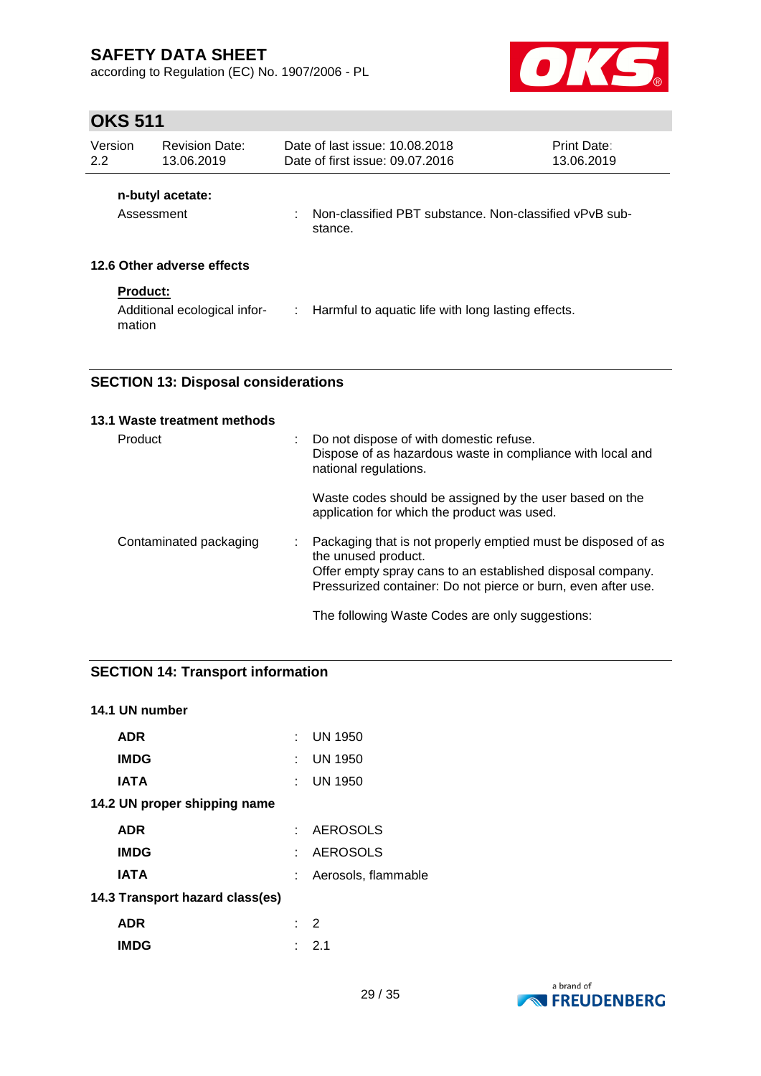according to Regulation (EC) No. 1907/2006 - PL



## **OKS 511**

| Version<br>2.2            | <b>Revision Date:</b><br>13.06.2019 |    | Date of last issue: 10.08.2018<br>Date of first issue: 09.07.2016 | <b>Print Date:</b><br>13.06.2019 |
|---------------------------|-------------------------------------|----|-------------------------------------------------------------------|----------------------------------|
|                           | n-butyl acetate:<br>Assessment      | ÷. | Non-classified PBT substance. Non-classified vPvB sub-<br>stance. |                                  |
|                           | 12.6 Other adverse effects          |    |                                                                   |                                  |
| <b>Product:</b><br>mation | Additional ecological infor-        |    | : Harmful to aquatic life with long lasting effects.              |                                  |

### **SECTION 13: Disposal considerations**

| 13.1 Waste treatment methods |                                                                                                                                                                                                                     |
|------------------------------|---------------------------------------------------------------------------------------------------------------------------------------------------------------------------------------------------------------------|
| Product                      | Do not dispose of with domestic refuse.<br>Dispose of as hazardous waste in compliance with local and<br>national regulations.                                                                                      |
|                              | Waste codes should be assigned by the user based on the<br>application for which the product was used.                                                                                                              |
| Contaminated packaging       | Packaging that is not properly emptied must be disposed of as<br>the unused product.<br>Offer empty spray cans to an established disposal company.<br>Pressurized container: Do not pierce or burn, even after use. |
|                              | The following Waste Codes are only suggestions:                                                                                                                                                                     |

### **SECTION 14: Transport information**

### **14.1 UN number**

| <b>ADR</b>                      | $:$ UN 1950           |
|---------------------------------|-----------------------|
| <b>IMDG</b>                     | $\therefore$ UN 1950  |
| <b>IATA</b>                     | $\therefore$ UN 1950  |
| 14.2 UN proper shipping name    |                       |
| <b>ADR</b>                      | : AEROSOLS            |
| <b>IMDG</b>                     | : AEROSOLS            |
| IATA                            | : Aerosols, flammable |
| 14.3 Transport hazard class(es) |                       |
| <b>ADR</b>                      | $\cdot$ 2             |
| <b>IMDG</b>                     | - 21                  |

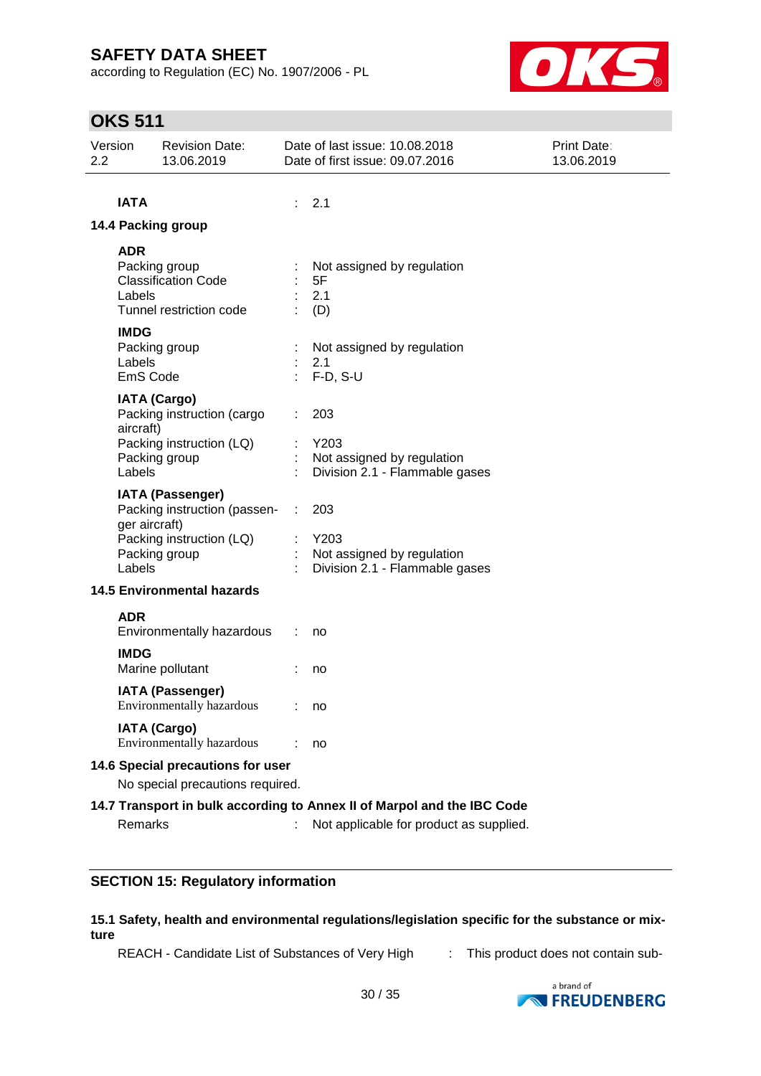according to Regulation (EC) No. 1907/2006 - PL



## **OKS 511**

| Version<br>2.2 |                                   | <b>Revision Date:</b><br>13.06.2019                                                                  |                 | Date of last issue: 10.08.2018<br>Date of first issue: 09.07.2016           | Print Date:<br>13.06.2019 |
|----------------|-----------------------------------|------------------------------------------------------------------------------------------------------|-----------------|-----------------------------------------------------------------------------|---------------------------|
|                |                                   |                                                                                                      |                 |                                                                             |                           |
|                | <b>IATA</b>                       |                                                                                                      | ÷.              | 2.1                                                                         |                           |
|                |                                   | 14.4 Packing group                                                                                   |                 |                                                                             |                           |
|                | <b>ADR</b><br>Labels              | Packing group<br><b>Classification Code</b><br>Tunnel restriction code                               |                 | Not assigned by regulation<br>5F<br>2.1<br>(D)                              |                           |
|                | <b>IMDG</b><br>Labels<br>EmS Code | Packing group                                                                                        |                 | Not assigned by regulation<br>2.1<br>$F-D, S-U$                             |                           |
|                | aircraft)<br>Labels               | <b>IATA (Cargo)</b><br>Packing instruction (cargo<br>Packing instruction (LQ)<br>Packing group       |                 | 203<br>Y203<br>Not assigned by regulation<br>Division 2.1 - Flammable gases |                           |
|                | ger aircraft)<br>Labels           | <b>IATA (Passenger)</b><br>Packing instruction (passen-<br>Packing instruction (LQ)<br>Packing group | ÷.              | 203<br>Y203<br>Not assigned by regulation<br>Division 2.1 - Flammable gases |                           |
|                |                                   | <b>14.5 Environmental hazards</b>                                                                    |                 |                                                                             |                           |
|                | <b>ADR</b>                        | Environmentally hazardous                                                                            |                 | no                                                                          |                           |
|                | <b>IMDG</b>                       | Marine pollutant                                                                                     |                 | no                                                                          |                           |
|                |                                   | <b>IATA (Passenger)</b><br>Environmentally hazardous                                                 | $\therefore$ no |                                                                             |                           |
|                |                                   | <b>IATA (Cargo)</b><br>Environmentally hazardous                                                     |                 | no                                                                          |                           |
|                |                                   | 14.6 Special precautions for user                                                                    |                 |                                                                             |                           |
|                |                                   | No special precautions required.                                                                     |                 |                                                                             |                           |
|                |                                   |                                                                                                      |                 | 14.7 Transport in bulk according to Annex II of Marpol and the IBC Code     |                           |
|                | <b>Remarks</b>                    |                                                                                                      |                 | Not applicable for product as supplied.                                     |                           |

### **SECTION 15: Regulatory information**

### **15.1 Safety, health and environmental regulations/legislation specific for the substance or mixture**

REACH - Candidate List of Substances of Very High : This product does not contain sub-

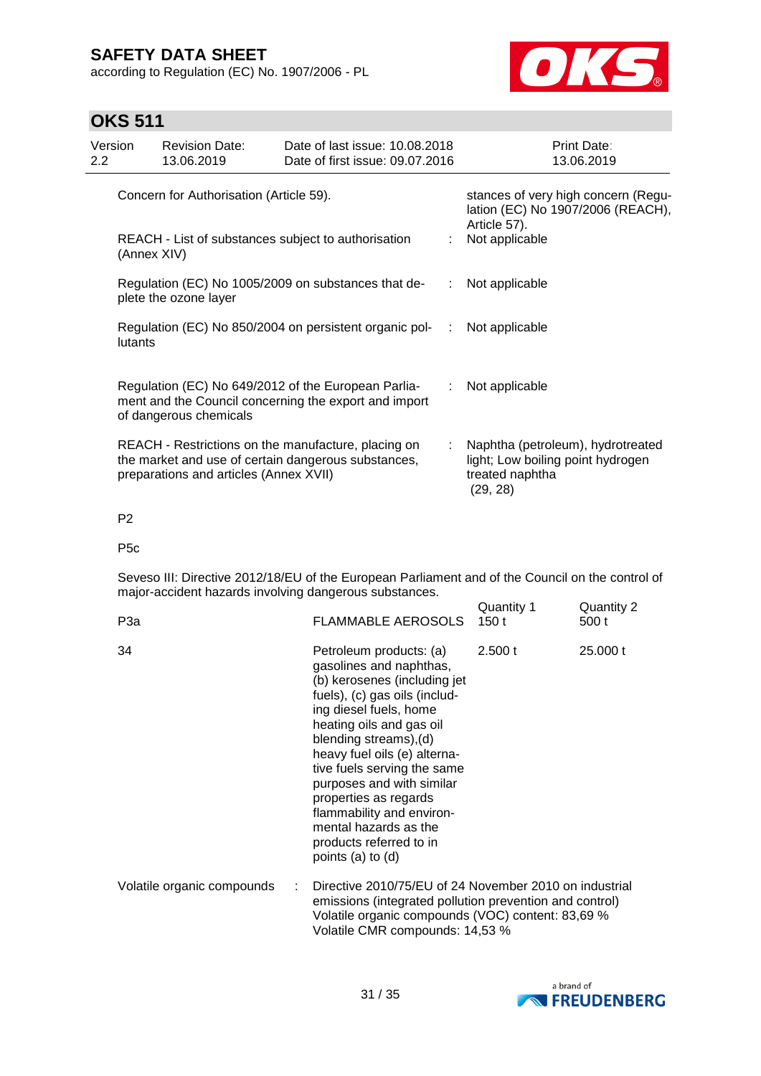according to Regulation (EC) No. 1907/2006 - PL



## **OKS 511**

| Version<br>$2.2^{\circ}$ | <b>Revision Date:</b><br>13.06.2019     | Date of last issue: 10.08.2018<br>Date of first issue: 09.07.2016                                            |   | Print Date:<br>13.06.2019                                                                             |
|--------------------------|-----------------------------------------|--------------------------------------------------------------------------------------------------------------|---|-------------------------------------------------------------------------------------------------------|
|                          | Concern for Authorisation (Article 59). |                                                                                                              |   | stances of very high concern (Regu-<br>lation (EC) No 1907/2006 (REACH),<br>Article 57).              |
|                          | (Annex XIV)                             | REACH - List of substances subject to authorisation                                                          |   | Not applicable                                                                                        |
|                          | plete the ozone layer                   | Regulation (EC) No 1005/2009 on substances that de-                                                          |   | Not applicable                                                                                        |
| lutants                  |                                         | Regulation (EC) No 850/2004 on persistent organic pol-<br>:                                                  |   | Not applicable                                                                                        |
|                          | of dangerous chemicals                  | Regulation (EC) No 649/2012 of the European Parlia-<br>ment and the Council concerning the export and import |   | Not applicable                                                                                        |
|                          | preparations and articles (Annex XVII)  | REACH - Restrictions on the manufacture, placing on<br>the market and use of certain dangerous substances,   | ÷ | Naphtha (petroleum), hydrotreated<br>light; Low boiling point hydrogen<br>treated naphtha<br>(29, 28) |

P2

P5c

Seveso III: Directive 2012/18/EU of the European Parliament and of the Council on the control of major-accident hazards involving dangerous substances. Quantity 1 Quantity 2

| P3a                        | FLAMMABLE AEROSOLS 150 t                                                                                                                                                                                                                                                                                                                                                                                                       |         | 500 t    |
|----------------------------|--------------------------------------------------------------------------------------------------------------------------------------------------------------------------------------------------------------------------------------------------------------------------------------------------------------------------------------------------------------------------------------------------------------------------------|---------|----------|
| 34                         | Petroleum products: (a)<br>gasolines and naphthas,<br>(b) kerosenes (including jet<br>fuels), (c) gas oils (includ-<br>ing diesel fuels, home<br>heating oils and gas oil<br>blending streams), (d)<br>heavy fuel oils (e) alterna-<br>tive fuels serving the same<br>purposes and with similar<br>properties as regards<br>flammability and environ-<br>mental hazards as the<br>products referred to in<br>points (a) to (d) | 2.500 t | 25,000 t |
| Volatile organic compounds | Directive 2010/75/EU of 24 November 2010 on industrial<br>emissions (integrated pollution prevention and control)<br>Volatile organic compounds (VOC) content: 83,69 %<br>Volatile CMR compounds: 14,53 %                                                                                                                                                                                                                      |         |          |

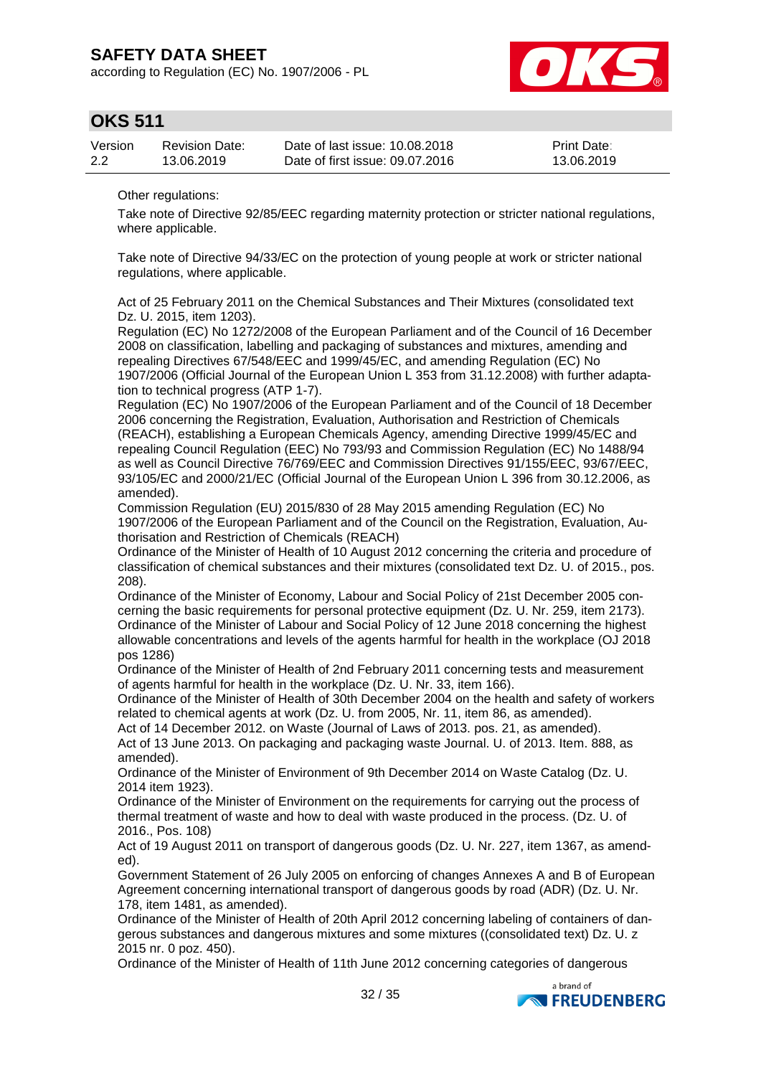according to Regulation (EC) No. 1907/2006 - PL



### **OKS 511**

| Version | <b>Revision Date:</b> | Date of last issue: 10.08.2018  | <b>Print Date:</b> |
|---------|-----------------------|---------------------------------|--------------------|
| 2.2     | 13.06.2019            | Date of first issue: 09.07.2016 | 13.06.2019         |

Other regulations:

Take note of Directive 92/85/EEC regarding maternity protection or stricter national regulations, where applicable.

Take note of Directive 94/33/EC on the protection of young people at work or stricter national regulations, where applicable.

Act of 25 February 2011 on the Chemical Substances and Their Mixtures (consolidated text Dz. U. 2015, item 1203).

Regulation (EC) No 1272/2008 of the European Parliament and of the Council of 16 December 2008 on classification, labelling and packaging of substances and mixtures, amending and repealing Directives 67/548/EEC and 1999/45/EC, and amending Regulation (EC) No 1907/2006 (Official Journal of the European Union L 353 from 31.12.2008) with further adaptation to technical progress (ATP 1-7).

Regulation (EC) No 1907/2006 of the European Parliament and of the Council of 18 December 2006 concerning the Registration, Evaluation, Authorisation and Restriction of Chemicals (REACH), establishing a European Chemicals Agency, amending Directive 1999/45/EC and repealing Council Regulation (EEC) No 793/93 and Commission Regulation (EC) No 1488/94 as well as Council Directive 76/769/EEC and Commission Directives 91/155/EEC, 93/67/EEC, 93/105/EC and 2000/21/EC (Official Journal of the European Union L 396 from 30.12.2006, as amended).

Commission Regulation (EU) 2015/830 of 28 May 2015 amending Regulation (EC) No 1907/2006 of the European Parliament and of the Council on the Registration, Evaluation, Authorisation and Restriction of Chemicals (REACH)

Ordinance of the Minister of Health of 10 August 2012 concerning the criteria and procedure of classification of chemical substances and their mixtures (consolidated text Dz. U. of 2015., pos. 208).

Ordinance of the Minister of Economy, Labour and Social Policy of 21st December 2005 concerning the basic requirements for personal protective equipment (Dz. U. Nr. 259, item 2173). Ordinance of the Minister of Labour and Social Policy of 12 June 2018 concerning the highest allowable concentrations and levels of the agents harmful for health in the workplace (OJ 2018 pos 1286)

Ordinance of the Minister of Health of 2nd February 2011 concerning tests and measurement of agents harmful for health in the workplace (Dz. U. Nr. 33, item 166).

Ordinance of the Minister of Health of 30th December 2004 on the health and safety of workers related to chemical agents at work (Dz. U. from 2005, Nr. 11, item 86, as amended).

Act of 14 December 2012. on Waste (Journal of Laws of 2013. pos. 21, as amended). Act of 13 June 2013. On packaging and packaging waste Journal. U. of 2013. Item. 888, as amended).

Ordinance of the Minister of Environment of 9th December 2014 on Waste Catalog (Dz. U. 2014 item 1923).

Ordinance of the Minister of Environment on the requirements for carrying out the process of thermal treatment of waste and how to deal with waste produced in the process. (Dz. U. of 2016., Pos. 108)

Act of 19 August 2011 on transport of dangerous goods (Dz. U. Nr. 227, item 1367, as amended).

Government Statement of 26 July 2005 on enforcing of changes Annexes A and B of European Agreement concerning international transport of dangerous goods by road (ADR) (Dz. U. Nr. 178, item 1481, as amended).

Ordinance of the Minister of Health of 20th April 2012 concerning labeling of containers of dangerous substances and dangerous mixtures and some mixtures ((consolidated text) Dz. U. z 2015 nr. 0 poz. 450).

Ordinance of the Minister of Health of 11th June 2012 concerning categories of dangerous

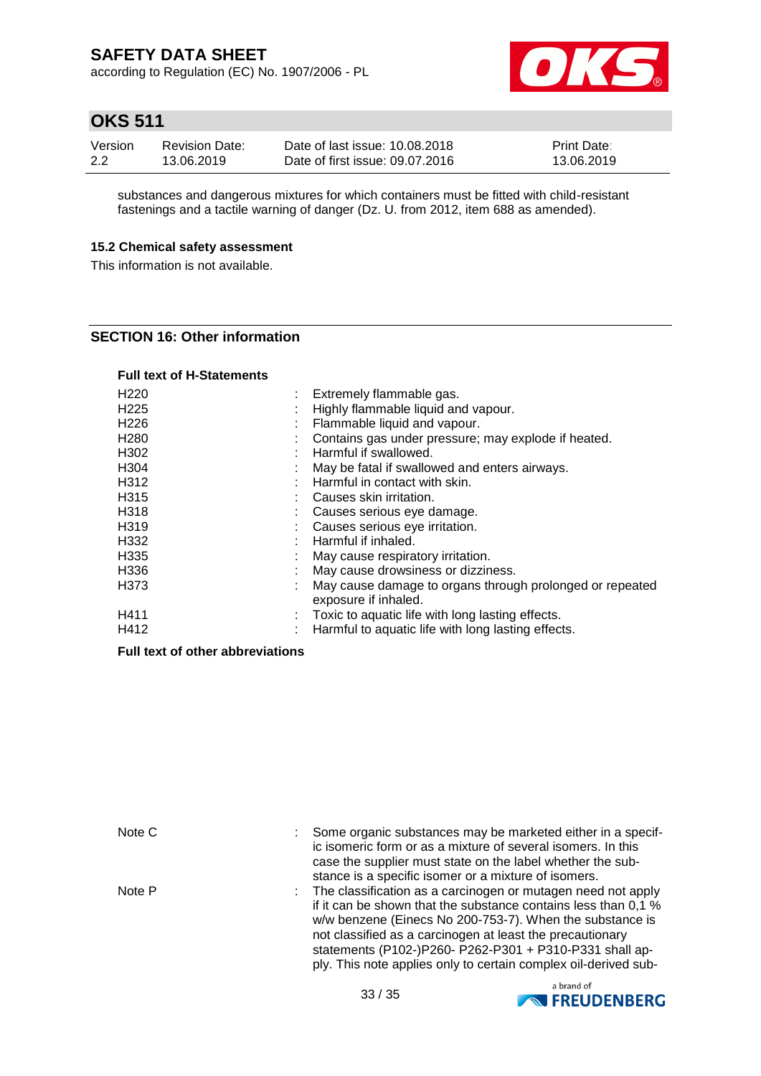according to Regulation (EC) No. 1907/2006 - PL



## **OKS 511**

| Version | <b>Revision Date:</b> | Date of last issue: 10.08.2018  | <b>Print Date:</b> |
|---------|-----------------------|---------------------------------|--------------------|
| 2.2     | 13.06.2019            | Date of first issue: 09.07.2016 | 13.06.2019         |

substances and dangerous mixtures for which containers must be fitted with child-resistant fastenings and a tactile warning of danger (Dz. U. from 2012, item 688 as amended).

### **15.2 Chemical safety assessment**

This information is not available.

### **SECTION 16: Other information**

### **Full text of H-Statements**

| H <sub>220</sub> |    | Extremely flammable gas.                                 |
|------------------|----|----------------------------------------------------------|
| H <sub>225</sub> | ä, | Highly flammable liquid and vapour.                      |
| H <sub>226</sub> | ÷  | Flammable liquid and vapour.                             |
| H <sub>280</sub> |    | Contains gas under pressure; may explode if heated.      |
| H302             |    | Harmful if swallowed.                                    |
| H304             |    | May be fatal if swallowed and enters airways.            |
| H312             |    | Harmful in contact with skin.                            |
| H315             | ٠  | Causes skin irritation.                                  |
| H318             |    | Causes serious eye damage.                               |
| H319             |    | Causes serious eye irritation.                           |
| H332             |    | Harmful if inhaled.                                      |
| H335             |    | May cause respiratory irritation.                        |
| H336             |    | May cause drowsiness or dizziness.                       |
| H373             |    | May cause damage to organs through prolonged or repeated |
|                  |    | exposure if inhaled.                                     |
| H411             | ÷  | Toxic to aquatic life with long lasting effects.         |
| H412             |    | Harmful to aquatic life with long lasting effects.       |

### **Full text of other abbreviations**

| Note C | Some organic substances may be marketed either in a specif-<br>ic isomeric form or as a mixture of several isomers. In this<br>case the supplier must state on the label whether the sub-<br>stance is a specific isomer or a mixture of isomers.                                                                                                                                       |
|--------|-----------------------------------------------------------------------------------------------------------------------------------------------------------------------------------------------------------------------------------------------------------------------------------------------------------------------------------------------------------------------------------------|
| Note P | : The classification as a carcinogen or mutagen need not apply<br>if it can be shown that the substance contains less than 0.1 %<br>w/w benzene (Einecs No 200-753-7). When the substance is<br>not classified as a carcinogen at least the precautionary<br>statements (P102-)P260- P262-P301 + P310-P331 shall ap-<br>ply. This note applies only to certain complex oil-derived sub- |

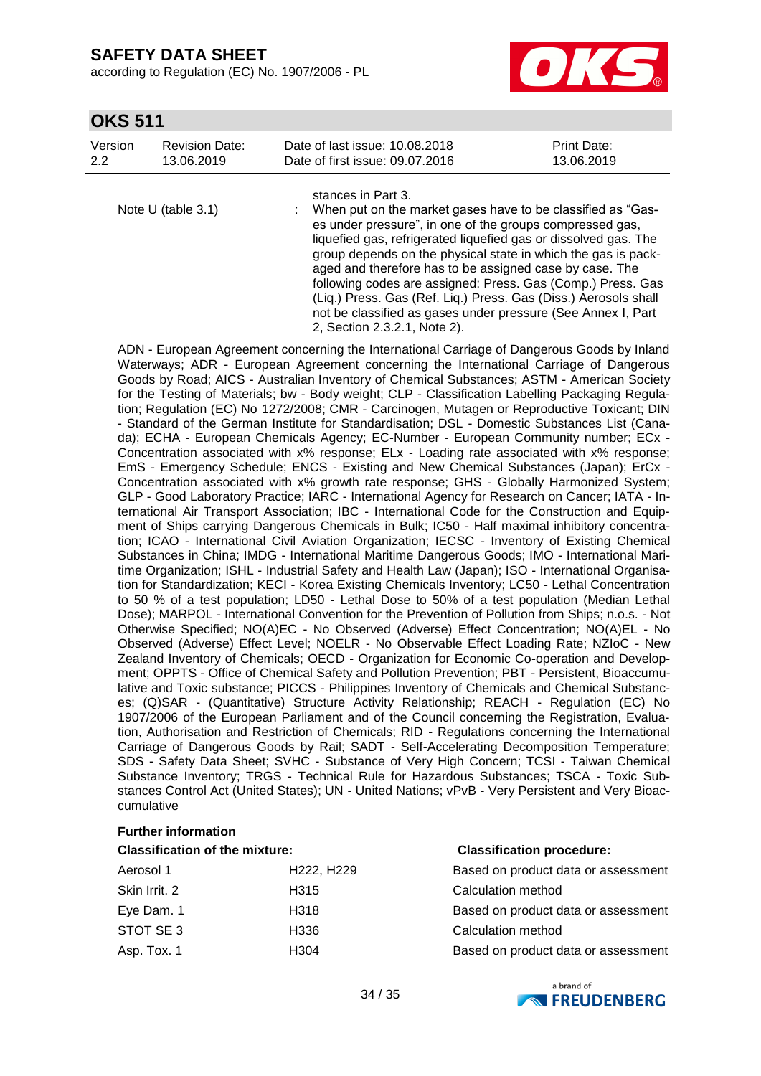according to Regulation (EC) No. 1907/2006 - PL



### **OKS 511**

| Version | <b>Revision Date:</b> | Date of last issue: 10.08.2018  | <b>Print Date:</b> |
|---------|-----------------------|---------------------------------|--------------------|
| 2.2     | 13.06.2019            | Date of first issue: 09.07.2016 | 13.06.2019         |
|         |                       |                                 |                    |

stances in Part 3.

Note U (table 3.1) : When put on the market gases have to be classified as "Gases under pressure", in one of the groups compressed gas, liquefied gas, refrigerated liquefied gas or dissolved gas. The group depends on the physical state in which the gas is packaged and therefore has to be assigned case by case. The following codes are assigned: Press. Gas (Comp.) Press. Gas (Liq.) Press. Gas (Ref. Liq.) Press. Gas (Diss.) Aerosols shall not be classified as gases under pressure (See Annex I, Part 2, Section 2.3.2.1, Note 2).

ADN - European Agreement concerning the International Carriage of Dangerous Goods by Inland Waterways; ADR - European Agreement concerning the International Carriage of Dangerous Goods by Road; AICS - Australian Inventory of Chemical Substances; ASTM - American Society for the Testing of Materials; bw - Body weight; CLP - Classification Labelling Packaging Regulation; Regulation (EC) No 1272/2008; CMR - Carcinogen, Mutagen or Reproductive Toxicant; DIN - Standard of the German Institute for Standardisation; DSL - Domestic Substances List (Canada); ECHA - European Chemicals Agency; EC-Number - European Community number; ECx - Concentration associated with x% response; ELx - Loading rate associated with x% response; EmS - Emergency Schedule; ENCS - Existing and New Chemical Substances (Japan); ErCx - Concentration associated with x% growth rate response; GHS - Globally Harmonized System; GLP - Good Laboratory Practice; IARC - International Agency for Research on Cancer; IATA - International Air Transport Association; IBC - International Code for the Construction and Equipment of Ships carrying Dangerous Chemicals in Bulk; IC50 - Half maximal inhibitory concentration; ICAO - International Civil Aviation Organization; IECSC - Inventory of Existing Chemical Substances in China; IMDG - International Maritime Dangerous Goods; IMO - International Maritime Organization; ISHL - Industrial Safety and Health Law (Japan); ISO - International Organisation for Standardization; KECI - Korea Existing Chemicals Inventory; LC50 - Lethal Concentration to 50 % of a test population; LD50 - Lethal Dose to 50% of a test population (Median Lethal Dose); MARPOL - International Convention for the Prevention of Pollution from Ships; n.o.s. - Not Otherwise Specified; NO(A)EC - No Observed (Adverse) Effect Concentration; NO(A)EL - No Observed (Adverse) Effect Level; NOELR - No Observable Effect Loading Rate; NZIoC - New Zealand Inventory of Chemicals; OECD - Organization for Economic Co-operation and Development; OPPTS - Office of Chemical Safety and Pollution Prevention; PBT - Persistent, Bioaccumulative and Toxic substance; PICCS - Philippines Inventory of Chemicals and Chemical Substances; (Q)SAR - (Quantitative) Structure Activity Relationship; REACH - Regulation (EC) No 1907/2006 of the European Parliament and of the Council concerning the Registration, Evaluation, Authorisation and Restriction of Chemicals; RID - Regulations concerning the International Carriage of Dangerous Goods by Rail; SADT - Self-Accelerating Decomposition Temperature; SDS - Safety Data Sheet; SVHC - Substance of Very High Concern; TCSI - Taiwan Chemical Substance Inventory; TRGS - Technical Rule for Hazardous Substances; TSCA - Toxic Substances Control Act (United States); UN - United Nations; vPvB - Very Persistent and Very Bioaccumulative

### **Further information**

#### **Classification of the mixture: Classification procedure:**

| Aerosol 1     | H <sub>222</sub> , H <sub>229</sub> | Based on product data or assessment |
|---------------|-------------------------------------|-------------------------------------|
| Skin Irrit, 2 | H <sub>315</sub>                    | Calculation method                  |
| Eye Dam. 1    | H318                                | Based on product data or assessment |
| STOT SE 3     | H336                                | Calculation method                  |
| Asp. Tox. 1   | H304                                | Based on product data or assessment |

| Based on product data or assessment |
|-------------------------------------|
| Calculation method                  |
| Based on product data or assessment |
| Calculation method                  |
| Based on product data or assessment |